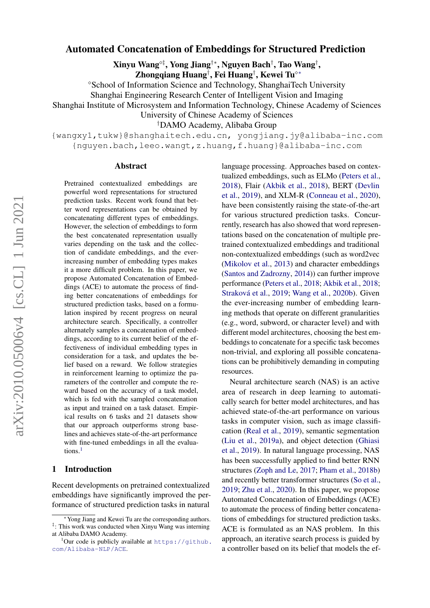# Automated Concatenation of Embeddings for Structured Prediction

Xinyu Wang°‡, Yong Jiang†\*, Nguyen Bach†, Tao Wang†,

Zhongqiang Huang†, Fei Huang†, Kewei Tu $^{\diamond*}$ 

School of Information Science and Technology, ShanghaiTech University

Shanghai Engineering Research Center of Intelligent Vision and Imaging

Shanghai Institute of Microsystem and Information Technology, Chinese Academy of Sciences

University of Chinese Academy of Sciences

†DAMO Academy, Alibaba Group

{wangxy1,tukw}@shanghaitech.edu.cn, yongjiang.jy@alibaba-inc.com {nguyen.bach,leeo.wangt,z.huang,f.huang}@alibaba-inc.com

#### Abstract

Pretrained contextualized embeddings are powerful word representations for structured prediction tasks. Recent work found that better word representations can be obtained by concatenating different types of embeddings. However, the selection of embeddings to form the best concatenated representation usually varies depending on the task and the collection of candidate embeddings, and the everincreasing number of embedding types makes it a more difficult problem. In this paper, we propose Automated Concatenation of Embeddings (ACE) to automate the process of finding better concatenations of embeddings for structured prediction tasks, based on a formulation inspired by recent progress on neural architecture search. Specifically, a controller alternately samples a concatenation of embeddings, according to its current belief of the effectiveness of individual embedding types in consideration for a task, and updates the belief based on a reward. We follow strategies in reinforcement learning to optimize the parameters of the controller and compute the reward based on the accuracy of a task model, which is fed with the sampled concatenation as input and trained on a task dataset. Empirical results on 6 tasks and 21 datasets show that our approach outperforms strong baselines and achieves state-of-the-art performance with fine-tuned embeddings in all the evalua-tions.<sup>[1](#page-0-0)</sup>

# 1 Introduction

Recent developments on pretrained contextualized embeddings have significantly improved the performance of structured prediction tasks in natural

language processing. Approaches based on contextualized embeddings, such as ELMo [\(Peters et al.,](#page-11-0) [2018\)](#page-11-0), Flair [\(Akbik et al.,](#page-9-0) [2018\)](#page-9-0), BERT [\(Devlin](#page-9-1) [et al.,](#page-9-1) [2019\)](#page-9-1), and XLM-R [\(Conneau et al.,](#page-9-2) [2020\)](#page-9-2), have been consistently raising the state-of-the-art for various structured prediction tasks. Concurrently, research has also showed that word representations based on the concatenation of multiple pretrained contextualized embeddings and traditional non-contextualized embeddings (such as word2vec [\(Mikolov et al.,](#page-11-1) [2013\)](#page-11-1) and character embeddings [\(Santos and Zadrozny,](#page-12-0) [2014\)](#page-12-0)) can further improve performance [\(Peters et al.,](#page-11-0) [2018;](#page-11-0) [Akbik et al.,](#page-9-0) [2018;](#page-9-0) [Straková et al.,](#page-12-1) [2019;](#page-12-1) [Wang et al.,](#page-13-0) [2020b\)](#page-13-0). Given the ever-increasing number of embedding learning methods that operate on different granularities (e.g., word, subword, or character level) and with different model architectures, choosing the best embeddings to concatenate for a specific task becomes non-trivial, and exploring all possible concatenations can be prohibitively demanding in computing resources.

Neural architecture search (NAS) is an active area of research in deep learning to automatically search for better model architectures, and has achieved state-of-the-art performance on various tasks in computer vision, such as image classification [\(Real et al.,](#page-12-2) [2019\)](#page-12-2), semantic segmentation [\(Liu et al.,](#page-10-0) [2019a\)](#page-10-0), and object detection [\(Ghiasi](#page-9-3) [et al.,](#page-9-3) [2019\)](#page-9-3). In natural language processing, NAS has been successfully applied to find better RNN structures [\(Zoph and Le,](#page-14-0) [2017;](#page-14-0) [Pham et al.,](#page-11-2) [2018b\)](#page-11-2) and recently better transformer structures [\(So et al.,](#page-12-3) [2019;](#page-12-3) [Zhu et al.,](#page-14-1) [2020\)](#page-14-1). In this paper, we propose Automated Concatenation of Embeddings (ACE) to automate the process of finding better concatenations of embeddings for structured prediction tasks. ACE is formulated as an NAS problem. In this approach, an iterative search process is guided by a controller based on its belief that models the ef-

Yong Jiang and Kewei Tu are the corresponding authors. ‡ : This work was conducted when Xinyu Wang was interning at Alibaba DAMO Academy.

<span id="page-0-0"></span><sup>&</sup>lt;sup>1</sup>Our code is publicly available at [https://github.](https://github.com/Alibaba-NLP/ACE) [com/Alibaba-NLP/ACE](https://github.com/Alibaba-NLP/ACE).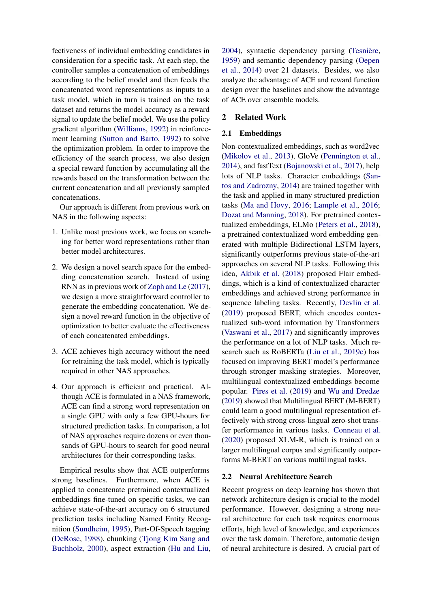fectiveness of individual embedding candidates in consideration for a specific task. At each step, the controller samples a concatenation of embeddings according to the belief model and then feeds the concatenated word representations as inputs to a task model, which in turn is trained on the task dataset and returns the model accuracy as a reward signal to update the belief model. We use the policy gradient algorithm [\(Williams,](#page-13-1) [1992\)](#page-13-1) in reinforcement learning [\(Sutton and Barto,](#page-12-4) [1992\)](#page-12-4) to solve the optimization problem. In order to improve the efficiency of the search process, we also design a special reward function by accumulating all the rewards based on the transformation between the current concatenation and all previously sampled concatenations.

Our approach is different from previous work on NAS in the following aspects:

- 1. Unlike most previous work, we focus on searching for better word representations rather than better model architectures.
- 2. We design a novel search space for the embedding concatenation search. Instead of using RNN as in previous work of [Zoph and Le](#page-14-0) [\(2017\)](#page-14-0), we design a more straightforward controller to generate the embedding concatenation. We design a novel reward function in the objective of optimization to better evaluate the effectiveness of each concatenated embeddings.
- 3. ACE achieves high accuracy without the need for retraining the task model, which is typically required in other NAS approaches.
- 4. Our approach is efficient and practical. Although ACE is formulated in a NAS framework, ACE can find a strong word representation on a single GPU with only a few GPU-hours for structured prediction tasks. In comparison, a lot of NAS approaches require dozens or even thousands of GPU-hours to search for good neural architectures for their corresponding tasks.

Empirical results show that ACE outperforms strong baselines. Furthermore, when ACE is applied to concatenate pretrained contextualized embeddings fine-tuned on specific tasks, we can achieve state-of-the-art accuracy on 6 structured prediction tasks including Named Entity Recognition [\(Sundheim,](#page-12-5) [1995\)](#page-12-5), Part-Of-Speech tagging [\(DeRose,](#page-9-4) [1988\)](#page-9-4), chunking [\(Tjong Kim Sang and](#page-12-6) [Buchholz,](#page-12-6) [2000\)](#page-12-6), aspect extraction [\(Hu and Liu,](#page-10-1) [2004\)](#page-10-1), syntactic dependency parsing [\(Tesnière,](#page-12-7) [1959\)](#page-12-7) and semantic dependency parsing [\(Oepen](#page-11-3) [et al.,](#page-11-3) [2014\)](#page-11-3) over 21 datasets. Besides, we also analyze the advantage of ACE and reward function design over the baselines and show the advantage of ACE over ensemble models.

## 2 Related Work

#### 2.1 Embeddings

Non-contextualized embeddings, such as word2vec [\(Mikolov et al.,](#page-11-1) [2013\)](#page-11-1), GloVe [\(Pennington et al.,](#page-11-4) [2014\)](#page-11-4), and fastText [\(Bojanowski et al.,](#page-9-5) [2017\)](#page-9-5), help lots of NLP tasks. Character embeddings [\(San](#page-12-0)[tos and Zadrozny,](#page-12-0) [2014\)](#page-12-0) are trained together with the task and applied in many structured prediction tasks [\(Ma and Hovy,](#page-11-5) [2016;](#page-11-5) [Lample et al.,](#page-10-2) [2016;](#page-10-2) [Dozat and Manning,](#page-9-6) [2018\)](#page-9-6). For pretrained contextualized embeddings, ELMo [\(Peters et al.,](#page-11-0) [2018\)](#page-11-0), a pretrained contextualized word embedding generated with multiple Bidirectional LSTM layers, significantly outperforms previous state-of-the-art approaches on several NLP tasks. Following this idea, [Akbik et al.](#page-9-0) [\(2018\)](#page-9-0) proposed Flair embeddings, which is a kind of contextualized character embeddings and achieved strong performance in sequence labeling tasks. Recently, [Devlin et al.](#page-9-1) [\(2019\)](#page-9-1) proposed BERT, which encodes contextualized sub-word information by Transformers [\(Vaswani et al.,](#page-12-8) [2017\)](#page-12-8) and significantly improves the performance on a lot of NLP tasks. Much research such as RoBERTa [\(Liu et al.,](#page-11-6) [2019c\)](#page-11-6) has focused on improving BERT model's performance through stronger masking strategies. Moreover, multilingual contextualized embeddings become popular. [Pires et al.](#page-11-7) [\(2019\)](#page-11-7) and [Wu and Dredze](#page-13-2) [\(2019\)](#page-13-2) showed that Multilingual BERT (M-BERT) could learn a good multilingual representation effectively with strong cross-lingual zero-shot transfer performance in various tasks. [Conneau et al.](#page-9-2) [\(2020\)](#page-9-2) proposed XLM-R, which is trained on a larger multilingual corpus and significantly outperforms M-BERT on various multilingual tasks.

#### 2.2 Neural Architecture Search

Recent progress on deep learning has shown that network architecture design is crucial to the model performance. However, designing a strong neural architecture for each task requires enormous efforts, high level of knowledge, and experiences over the task domain. Therefore, automatic design of neural architecture is desired. A crucial part of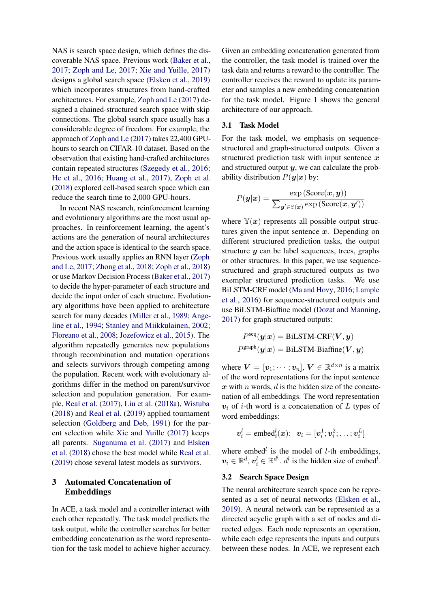NAS is search space design, which defines the discoverable NAS space. Previous work [\(Baker et al.,](#page-9-7) [2017;](#page-9-7) [Zoph and Le,](#page-14-0) [2017;](#page-14-0) [Xie and Yuille,](#page-13-3) [2017\)](#page-13-3) designs a global search space [\(Elsken et al.,](#page-9-8) [2019\)](#page-9-8) which incorporates structures from hand-crafted architectures. For example, [Zoph and Le](#page-14-0) [\(2017\)](#page-14-0) designed a chained-structured search space with skip connections. The global search space usually has a considerable degree of freedom. For example, the approach of [Zoph and Le](#page-14-0) [\(2017\)](#page-14-0) takes 22,400 GPUhours to search on CIFAR-10 dataset. Based on the observation that existing hand-crafted architectures contain repeated structures [\(Szegedy et al.,](#page-12-9) [2016;](#page-12-9) [He et al.,](#page-10-3) [2016;](#page-10-3) [Huang et al.,](#page-10-4) [2017\)](#page-10-4), [Zoph et al.](#page-14-2) [\(2018\)](#page-14-2) explored cell-based search space which can reduce the search time to 2,000 GPU-hours.

In recent NAS research, reinforcement learning and evolutionary algorithms are the most usual approaches. In reinforcement learning, the agent's actions are the generation of neural architectures and the action space is identical to the search space. Previous work usually applies an RNN layer [\(Zoph](#page-14-0) [and Le,](#page-14-0) [2017;](#page-14-0) [Zhong et al.,](#page-13-4) [2018;](#page-13-4) [Zoph et al.,](#page-14-2) [2018\)](#page-14-2) or use Markov Decision Process [\(Baker et al.,](#page-9-7) [2017\)](#page-9-7) to decide the hyper-parameter of each structure and decide the input order of each structure. Evolutionary algorithms have been applied to architecture search for many decades [\(Miller et al.,](#page-11-8) [1989;](#page-11-8) [Ange](#page-9-9)[line et al.,](#page-9-9) [1994;](#page-9-9) [Stanley and Miikkulainen,](#page-12-10) [2002;](#page-12-10) [Floreano et al.,](#page-9-10) [2008;](#page-9-10) [Jozefowicz et al.,](#page-10-5) [2015\)](#page-10-5). The algorithm repeatedly generates new populations through recombination and mutation operations and selects survivors through competing among the population. Recent work with evolutionary algorithms differ in the method on parent/survivor selection and population generation. For example, [Real et al.](#page-12-11) [\(2017\)](#page-12-11), [Liu et al.](#page-10-6) [\(2018a\)](#page-10-6), [Wistuba](#page-13-5) [\(2018\)](#page-13-5) and [Real et al.](#page-12-2) [\(2019\)](#page-12-2) applied tournament selection [\(Goldberg and Deb,](#page-10-7) [1991\)](#page-10-7) for the parent selection while [Xie and Yuille](#page-13-3) [\(2017\)](#page-13-3) keeps all parents. [Suganuma et al.](#page-12-12) [\(2017\)](#page-12-12) and [Elsken](#page-9-11) [et al.](#page-9-11) [\(2018\)](#page-9-11) chose the best model while [Real et al.](#page-12-2) [\(2019\)](#page-12-2) chose several latest models as survivors.

# 3 Automated Concatenation of Embeddings

In ACE, a task model and a controller interact with each other repeatedly. The task model predicts the task output, while the controller searches for better embedding concatenation as the word representation for the task model to achieve higher accuracy.

Given an embedding concatenation generated from the controller, the task model is trained over the task data and returns a reward to the controller. The controller receives the reward to update its parameter and samples a new embedding concatenation for the task model. Figure [1](#page-4-0) shows the general architecture of our approach.

## 3.1 Task Model

For the task model, we emphasis on sequencestructured and graph-structured outputs. Given a structured prediction task with input sentence  $x$ and structured output  $y$ , we can calculate the probability distribution  $P(y|x)$  by:

$$
P(\mathbf{y}|\mathbf{x}) = \frac{\exp\left(\text{Score}(\mathbf{x}, \mathbf{y})\right)}{\sum_{\mathbf{y'} \in \mathbb{Y}(\mathbf{x})} \exp\left(\text{Score}(\mathbf{x}, \mathbf{y'})\right)}
$$

where  $\mathbb{Y}(x)$  represents all possible output structures given the input sentence  $x$ . Depending on different structured prediction tasks, the output structure  $y$  can be label sequences, trees, graphs or other structures. In this paper, we use sequencestructured and graph-structured outputs as two exemplar structured prediction tasks. We use BiLSTM-CRF model [\(Ma and Hovy,](#page-11-5) [2016;](#page-11-5) [Lample](#page-10-2) [et al.,](#page-10-2) [2016\)](#page-10-2) for sequence-structured outputs and use BiLSTM-Biaffine model [\(Dozat and Manning,](#page-9-12) [2017\)](#page-9-12) for graph-structured outputs:

$$
\begin{aligned} P^{\text{seq}}(\bm{y}|\bm{x}) = \text{BiLSTM-CRF}(\bm{V}, \bm{y}) \\ P^{\text{graph}}(\bm{y}|\bm{x}) = \text{BiLSTM-Biaffine}(\bm{V}, \bm{y}) \end{aligned}
$$

where  $\mathbf{V} = [\mathbf{v}_1; \cdots; \mathbf{v}_n], \mathbf{V} \in \mathbb{R}^{d \times n}$  is a matrix of the word representations for the input sentence  $x$  with n words,  $d$  is the hidden size of the concatenation of all embeddings. The word representation  $v_i$  of *i*-th word is a concatenation of L types of word embeddings:

$$
\boldsymbol{v}_i^l=\text{embed}_i^l(\boldsymbol{x}); \hspace{2mm} \boldsymbol{v}_i=[\boldsymbol{v}_i^1;\boldsymbol{v}_i^2;\ldots;\boldsymbol{v}_i^L]
$$

where embed<sup> $l$ </sup> is the model of  $l$ -th embeddings,  $v_i \in \mathbb{R}^d$ ,  $v_i^l \in \mathbb{R}^{d^l}$ .  $d^l$  is the hidden size of embed<sup>l</sup>.

## 3.2 Search Space Design

The neural architecture search space can be represented as a set of neural networks [\(Elsken et al.,](#page-9-8) [2019\)](#page-9-8). A neural network can be represented as a directed acyclic graph with a set of nodes and directed edges. Each node represents an operation, while each edge represents the inputs and outputs between these nodes. In ACE, we represent each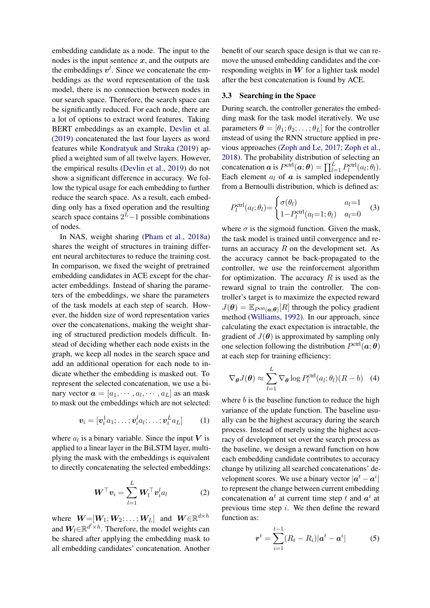embedding candidate as a node. The input to the nodes is the input sentence  $x$ , and the outputs are the embeddings  $v^l$ . Since we concatenate the embeddings as the word representation of the task model, there is no connection between nodes in our search space. Therefore, the search space can be significantly reduced. For each node, there are a lot of options to extract word features. Taking BERT embeddings as an example, [Devlin et al.](#page-9-1) [\(2019\)](#page-9-1) concatenated the last four layers as word features while [Kondratyuk and Straka](#page-10-8) [\(2019\)](#page-10-8) applied a weighted sum of all twelve layers. However, the empirical results [\(Devlin et al.,](#page-9-1) [2019\)](#page-9-1) do not show a significant difference in accuracy. We follow the typical usage for each embedding to further reduce the search space. As a result, each embedding only has a fixed operation and the resulting search space contains  $2^L-1$  possible combinations of nodes.

In NAS, weight sharing [\(Pham et al.,](#page-11-9) [2018a\)](#page-11-9) shares the weight of structures in training different neural architectures to reduce the training cost. In comparison, we fixed the weight of pretrained embedding candidates in ACE except for the character embeddings. Instead of sharing the parameters of the embeddings, we share the parameters of the task models at each step of search. However, the hidden size of word representation varies over the concatenations, making the weight sharing of structured prediction models difficult. Instead of deciding whether each node exists in the graph, we keep all nodes in the search space and add an additional operation for each node to indicate whether the embedding is masked out. To represent the selected concatenation, we use a binary vector  $\boldsymbol{a} = [a_1, \cdots, a_l, \cdots, a_L]$  as an mask to mask out the embeddings which are not selected:

$$
\boldsymbol{v}_i = [\boldsymbol{v}_i^1 a_1; \dots; \boldsymbol{v}_i^l a_l; \dots; \boldsymbol{v}_i^L a_L] \qquad (1)
$$

where  $a_l$  is a binary variable. Since the input V is applied to a linear layer in the BiLSTM layer, multiplying the mask with the embeddings is equivalent to directly concatenating the selected embeddings:

$$
\boldsymbol{W}^{\top} \boldsymbol{v}_i = \sum_{l=1}^{L} \boldsymbol{W}_l^{\top} \boldsymbol{v}_i^l a_l \qquad (2)
$$

where  $W = [W_1; W_2; \dots; W_L]$  and  $W \in \mathbb{R}^{d \times h}$ and  $W_l \in \mathbb{R}^{d^l \times h}$ . Therefore, the model weights can be shared after applying the embedding mask to all embedding candidates' concatenation. Another benefit of our search space design is that we can remove the unused embedding candidates and the corresponding weights in  $W$  for a lighter task model after the best concatenation is found by ACE.

#### 3.3 Searching in the Space

During search, the controller generates the embedding mask for the task model iteratively. We use parameters  $\boldsymbol{\theta} = [\theta_1; \theta_2; \dots; \theta_L]$  for the controller instead of using the RNN structure applied in previous approaches [\(Zoph and Le,](#page-14-0) [2017;](#page-14-0) [Zoph et al.,](#page-14-2) [2018\)](#page-14-2). The probability distribution of selecting an concatenation  $\boldsymbol{a}$  is  $P^{\text{ctrl}}(\boldsymbol{a}; \boldsymbol{\theta}) = \prod_{l=1}^{L} P_{l}^{\text{ctrl}}(a_{l}; \theta_{l}).$ Each element  $a_l$  of  $\boldsymbol{a}$  is sampled independently from a Bernoulli distribution, which is defined as:

<span id="page-3-1"></span>
$$
P_l^{\text{ctrl}}(a_l; \theta_l) = \begin{cases} \sigma(\theta_l) & a_l = 1\\ 1 - P_l^{\text{ctrl}}(a_l = 1; \theta_l) & a_l = 0 \end{cases}
$$
(3)

where  $\sigma$  is the sigmoid function. Given the mask, the task model is trained until convergence and returns an accuracy  $R$  on the development set. As the accuracy cannot be back-propagated to the controller, we use the reinforcement algorithm for optimization. The accuracy  $R$  is used as the reward signal to train the controller. The controller's target is to maximize the expected reward  $J(\theta) = \mathbb{E}_{P^{\text{ctrl}}(\boldsymbol{a};\theta)}[R]$  through the policy gradient method [\(Williams,](#page-13-1) [1992\)](#page-13-1). In our approach, since calculating the exact expectation is intractable, the gradient of  $J(\theta)$  is approximated by sampling only one selection following the distribution  $P^{\text{ctrl}}(\boldsymbol{a}; \boldsymbol{\theta})$ at each step for training efficiency:

<span id="page-3-0"></span>
$$
\nabla_{\boldsymbol{\theta}} J(\boldsymbol{\theta}) \approx \sum_{l=1}^{L} \nabla_{\boldsymbol{\theta}} \log P_l^{\text{ctrl}}(a_l; \theta_l) (R - b) \quad (4)
$$

<span id="page-3-2"></span>where  $b$  is the baseline function to reduce the high variance of the update function. The baseline usually can be the highest accuracy during the search process. Instead of merely using the highest accuracy of development set over the search process as the baseline, we design a reward function on how each embedding candidate contributes to accuracy change by utilizing all searched concatenations' development scores. We use a binary vector  $|a^t - a^i|$ to represent the change between current embedding concatenation  $a^t$  at current time step t and  $a^i$  at previous time step  $i$ . We then define the reward function as:

<span id="page-3-4"></span><span id="page-3-3"></span>
$$
r^{t} = \sum_{i=1}^{t-1} (R_{t} - R_{i}) |a^{t} - a^{i}| \qquad (5)
$$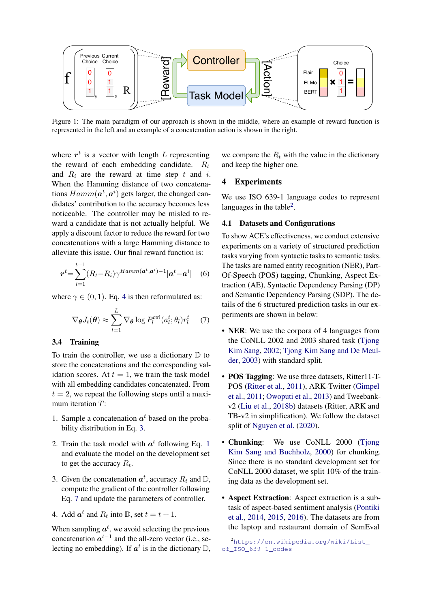<span id="page-4-0"></span>

Figure 1: The main paradigm of our approach is shown in the middle, where an example of reward function is represented in the left and an example of a concatenation action is shown in the right.

where  $r^t$  is a vector with length L representing the reward of each embedding candidate.  $R_t$ and  $R_i$  are the reward at time step t and i. When the Hamming distance of two concatenations  $Hamm(\boldsymbol{a}^t, \boldsymbol{a}^i)$  gets larger, the changed candidates' contribution to the accuracy becomes less noticeable. The controller may be misled to reward a candidate that is not actually helpful. We apply a discount factor to reduce the reward for two concatenations with a large Hamming distance to alleviate this issue. Our final reward function is:

$$
\boldsymbol{r}^{t} = \sum_{i=1}^{t-1} (R_t - R_i) \gamma^{Hamm(\boldsymbol{a}^{t}, \boldsymbol{a}^{i})-1} |\boldsymbol{a}^{t} - \boldsymbol{a}^{i}| \quad (6)
$$

where  $\gamma \in (0, 1)$ . Eq. [4](#page-3-0) is then reformulated as:

$$
\nabla_{\boldsymbol{\theta}} J_t(\boldsymbol{\theta}) \approx \sum_{l=1}^{L} \nabla_{\boldsymbol{\theta}} \log P_l^{\text{ctrl}}(a_l^t; \theta_l) r_l^t \quad (7)
$$

#### 3.4 Training

To train the controller, we use a dictionary  $D$  to store the concatenations and the corresponding validation scores. At  $t = 1$ , we train the task model with all embedding candidates concatenated. From  $t = 2$ , we repeat the following steps until a maximum iteration T:

- 1. Sample a concatenation  $a^t$  based on the probability distribution in Eq. [3.](#page-3-1)
- 2. Train the task model with  $a^t$  following Eq. [1](#page-3-2) and evaluate the model on the development set to get the accuracy  $R_t$ .
- 3. Given the concatenation  $a^t$ , accuracy  $R_t$  and  $\mathbb{D}$ , compute the gradient of the controller following Eq. [7](#page-4-1) and update the parameters of controller.
- 4. Add  $a^t$  and  $R_t$  into  $\mathbb{D}$ , set  $t = t + 1$ .

When sampling  $a^t$ , we avoid selecting the previous concatenation  $a^{t-1}$  and the all-zero vector (i.e., selecting no embedding). If  $a^t$  is in the dictionary D,

we compare the  $R_t$  with the value in the dictionary and keep the higher one.

## 4 Experiments

We use ISO 639-1 language codes to represent languages in the table<sup>[2](#page-4-2)</sup>.

#### 4.1 Datasets and Configurations

<span id="page-4-3"></span>To show ACE's effectiveness, we conduct extensive experiments on a variety of structured prediction tasks varying from syntactic tasks to semantic tasks. The tasks are named entity recognition (NER), Part-Of-Speech (POS) tagging, Chunking, Aspect Extraction (AE), Syntactic Dependency Parsing (DP) and Semantic Dependency Parsing (SDP). The details of the 6 structured prediction tasks in our experiments are shown in below:

- <span id="page-4-1"></span>• **NER**: We use the corpora of 4 languages from the CoNLL 2002 and 2003 shared task [\(Tjong](#page-12-13) [Kim Sang,](#page-12-13) [2002;](#page-12-13) [Tjong Kim Sang and De Meul](#page-12-14)[der,](#page-12-14) [2003\)](#page-12-14) with standard split.
- POS Tagging: We use three datasets, Ritter11-T-POS [\(Ritter et al.,](#page-12-15) [2011\)](#page-12-15), ARK-Twitter [\(Gimpel](#page-9-13) [et al.,](#page-9-13) [2011;](#page-9-13) [Owoputi et al.,](#page-11-10) [2013\)](#page-11-10) and Tweebankv2 [\(Liu et al.,](#page-10-9) [2018b\)](#page-10-9) datasets (Ritter, ARK and TB-v2 in simplification). We follow the dataset split of [Nguyen et al.](#page-11-11) [\(2020\)](#page-11-11).
- Chunking: We use CoNLL 2000 (Tiong [Kim Sang and Buchholz,](#page-12-6) [2000\)](#page-12-6) for chunking. Since there is no standard development set for CoNLL 2000 dataset, we split 10% of the training data as the development set.
- Aspect Extraction: Aspect extraction is a subtask of aspect-based sentiment analysis [\(Pontiki](#page-12-16) [et al.,](#page-12-16) [2014,](#page-12-16) [2015,](#page-12-17) [2016\)](#page-12-18). The datasets are from the laptop and restaurant domain of SemEval

<span id="page-4-2"></span><sup>2</sup>[https://en.wikipedia.org/wiki/List\\_](https://en.wikipedia.org/wiki/List_of_ISO_639-1_codes) [of\\_ISO\\_639-1\\_codes](https://en.wikipedia.org/wiki/List_of_ISO_639-1_codes)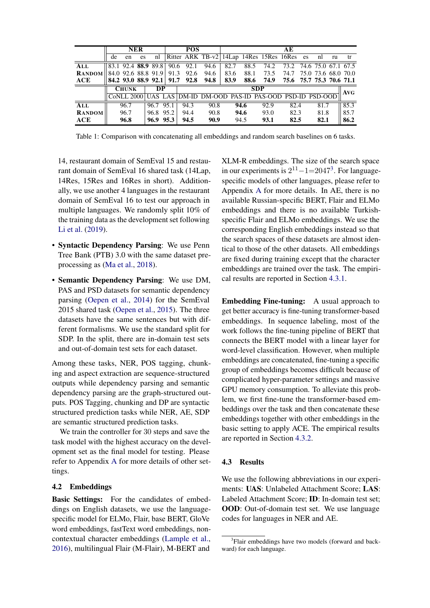<span id="page-5-1"></span>

|               |    |              | <b>NER</b> |                     |      | <b>POS</b>                                         |      |      |      |            | AE                       |      |    |      |
|---------------|----|--------------|------------|---------------------|------|----------------------------------------------------|------|------|------|------------|--------------------------|------|----|------|
|               | de | en           | es         | nl                  |      | Ritter ARK TB-v2   14Lap 14Res 15Res 16Res es      |      |      |      |            |                          | nl   | ru | tr   |
| ALL           |    |              |            | 83.1 92.4 88.9 89.8 | 90.6 | 92.1                                               | 94.6 | 82.7 | 88.5 | 74.2       | 73.2 74.6 75.0 67.1 67.5 |      |    |      |
| <b>RANDOM</b> |    |              |            | 84.0 92.6 88.8 91.9 | 91.3 | 92.6                                               | 94.6 | 83.6 | 88.1 | 73.5       | 74.7 75.0 73.6 68.0 70.0 |      |    |      |
| ACE           |    |              |            |                     |      | 84.2 93.0 88.9 92.1 91.7 92.8 94.8                 |      | 83.9 | 88.6 | 74.9       | 75.6 75.7 75.3 70.6 71.1 |      |    |      |
|               |    | <b>CHUNK</b> |            | DP                  |      |                                                    |      |      |      | <b>SDP</b> |                          |      |    | AVG  |
|               |    | CoNLL 2000   |            |                     |      | UAS LAS DM-ID DM-OOD PAS-ID PAS-OOD PSD-ID PSD-OOD |      |      |      |            |                          |      |    |      |
| ALL           |    | 96.7         |            | 96.7 95.1           |      | 94.3                                               | 90.8 |      | 94.6 | 92.9       | 82.4                     | 81.7 |    | 85.3 |
| <b>RANDOM</b> |    | 96.7         |            | 96.8 95.2           |      | 94.4                                               | 90.8 |      | 94.6 | 93.0       | 82.3                     | 81.8 |    | 85.7 |
| ACE           |    | 96.8         |            | 96.9 95.3           |      | 94.5                                               | 90.9 |      | 94.5 | 93.1       | 82.5                     | 82.1 |    | 86.2 |

Table 1: Comparison with concatenating all embeddings and random search baselines on 6 tasks.

14, restaurant domain of SemEval 15 and restaurant domain of SemEval 16 shared task (14Lap. 14Res, 15Res and 16Res in short). Additionally, we use another 4 languages in the restaurant domain of SemEval 16 to test our approach in multiple languages. We randomly split 10% of the training data as the development set following Li et al. (2019).

- Syntactic Dependency Parsing: We use Penn Tree Bank (PTB) 3.0 with the same dataset preprocessing as (Ma et al., 2018).
- Semantic Dependency Parsing: We use DM, PAS and PSD datasets for semantic dependency parsing (Oepen et al., 2014) for the SemEval 2015 shared task (Oepen et al., 2015). The three datasets have the same sentences but with different formalisms. We use the standard split for SDP. In the split, there are in-domain test sets and out-of-domain test sets for each dataset.

Among these tasks, NER, POS tagging, chunking and aspect extraction are sequence-structured outputs while dependency parsing and semantic dependency parsing are the graph-structured outputs. POS Tagging, chunking and DP are syntactic structured prediction tasks while NER, AE, SDP are semantic structured prediction tasks.

We train the controller for 30 steps and save the task model with the highest accuracy on the development set as the final model for testing. Please refer to Appendix A for more details of other settings.

## 4.2 Embeddings

Basic Settings: For the candidates of embeddings on English datasets, we use the languagespecific model for ELMo, Flair, base BERT, GloVe word embeddings, fastText word embeddings, noncontextual character embeddings (Lample et al., 2016), multilingual Flair (M-Flair), M-BERT and

XLM-R embeddings. The size of the search space in our experiments is  $2^{11} - 1 = 2047^3$ . For languagespecific models of other languages, please refer to Appendix A for more details. In AE, there is no available Russian-specific BERT, Flair and ELMo embeddings and there is no available Turkishspecific Flair and ELMo embeddings. We use the corresponding English embeddings instead so that the search spaces of these datasets are almost identical to those of the other datasets. All embeddings are fixed during training except that the character embeddings are trained over the task. The empirical results are reported in Section 4.3.1.

**Embedding Fine-tuning:** A usual approach to get better accuracy is fine-tuning transformer-based embeddings. In sequence labeling, most of the work follows the fine-tuning pipeline of BERT that connects the BERT model with a linear layer for word-level classification. However, when multiple embeddings are concatenated, fine-tuning a specific group of embeddings becomes difficult because of complicated hyper-parameter settings and massive GPU memory consumption. To alleviate this problem, we first fine-tune the transformer-based embeddings over the task and then concatenate these embeddings together with other embeddings in the basic setting to apply ACE. The empirical results are reported in Section 4.3.2.

#### 4.3 Results

We use the following abbreviations in our experiments: UAS: Unlabeled Attachment Score; LAS: Labeled Attachment Score; ID: In-domain test set; **OOD**: Out-of-domain test set. We use language codes for languages in NER and AE.

<span id="page-5-0"></span><sup>&</sup>lt;sup>3</sup>Flair embeddings have two models (forward and backward) for each language.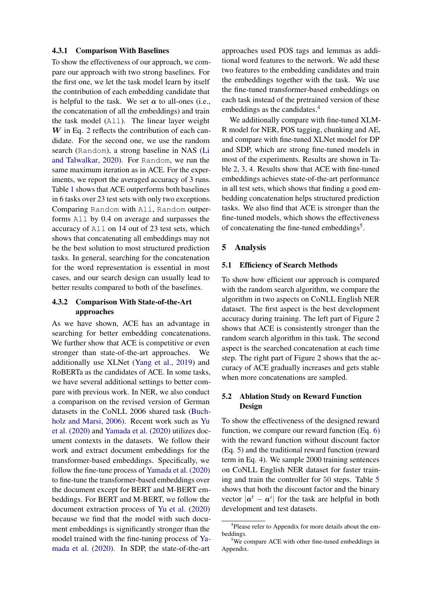#### <span id="page-6-0"></span>4.3.1 Comparison With Baselines

To show the effectiveness of our approach, we compare our approach with two strong baselines. For the first one, we let the task model learn by itself the contribution of each embedding candidate that is helpful to the task. We set  $a$  to all-ones (i.e., the concatenation of all the embeddings) and train the task model (All). The linear layer weight  $W$  in Eq. [2](#page-3-3) reflects the contribution of each candidate. For the second one, we use the random search (Random), a strong baseline in NAS [\(Li](#page-10-11) [and Talwalkar,](#page-10-11) [2020\)](#page-10-11). For Random, we run the same maximum iteration as in ACE. For the experiments, we report the averaged accuracy of 3 runs. Table [1](#page-5-1) shows that ACE outperforms both baselines in 6 tasks over 23 test sets with only two exceptions. Comparing Random with All, Random outperforms All by 0.4 on average and surpasses the accuracy of All on 14 out of 23 test sets, which shows that concatenating all embeddings may not be the best solution to most structured prediction tasks. In general, searching for the concatenation for the word representation is essential in most cases, and our search design can usually lead to better results compared to both of the baselines.

## <span id="page-6-1"></span>4.3.2 Comparison With State-of-the-Art approaches

As we have shown, ACE has an advantage in searching for better embedding concatenations. We further show that ACE is competitive or even stronger than state-of-the-art approaches. We additionally use XLNet [\(Yang et al.,](#page-13-6) [2019\)](#page-13-6) and RoBERTa as the candidates of ACE. In some tasks, we have several additional settings to better compare with previous work. In NER, we also conduct a comparison on the revised version of German datasets in the CoNLL 2006 shared task [\(Buch](#page-9-14)[holz and Marsi,](#page-9-14) [2006\)](#page-9-14). Recent work such as [Yu](#page-13-7) [et al.](#page-13-7) [\(2020\)](#page-13-7) and [Yamada et al.](#page-13-8) [\(2020\)](#page-13-8) utilizes document contexts in the datasets. We follow their work and extract document embeddings for the transformer-based embeddings. Specifically, we follow the fine-tune process of [Yamada et al.](#page-13-8) [\(2020\)](#page-13-8) to fine-tune the transformer-based embeddings over the document except for BERT and M-BERT embeddings. For BERT and M-BERT, we follow the document extraction process of [Yu et al.](#page-13-7) [\(2020\)](#page-13-7) because we find that the model with such document embeddings is significantly stronger than the model trained with the fine-tuning process of [Ya](#page-13-8)[mada et al.](#page-13-8) [\(2020\)](#page-13-8). In SDP, the state-of-the-art

approaches used POS tags and lemmas as additional word features to the network. We add these two features to the embedding candidates and train the embeddings together with the task. We use the fine-tuned transformer-based embeddings on each task instead of the pretrained version of these embeddings as the candidates.<sup>[4](#page-6-2)</sup>

We additionally compare with fine-tuned XLM-R model for NER, POS tagging, chunking and AE, and compare with fine-tuned XLNet model for DP and SDP, which are strong fine-tuned models in most of the experiments. Results are shown in Table [2,](#page-7-0) [3,](#page-7-1) [4.](#page-8-0) Results show that ACE with fine-tuned embeddings achieves state-of-the-art performance in all test sets, which shows that finding a good embedding concatenation helps structured prediction tasks. We also find that ACE is stronger than the fine-tuned models, which shows the effectiveness of concatenating the fine-tuned embeddings<sup>[5](#page-6-3)</sup>.

## 5 Analysis

## 5.1 Efficiency of Search Methods

To show how efficient our approach is compared with the random search algorithm, we compare the algorithm in two aspects on CoNLL English NER dataset. The first aspect is the best development accuracy during training. The left part of Figure [2](#page-7-2) shows that ACE is consistently stronger than the random search algorithm in this task. The second aspect is the searched concatenation at each time step. The right part of Figure [2](#page-7-2) shows that the accuracy of ACE gradually increases and gets stable when more concatenations are sampled.

## <span id="page-6-4"></span>5.2 Ablation Study on Reward Function Design

To show the effectiveness of the designed reward function, we compare our reward function (Eq. [6\)](#page-4-3) with the reward function without discount factor (Eq. [5\)](#page-3-4) and the traditional reward function (reward term in Eq. [4\)](#page-3-0). We sample 2000 training sentences on CoNLL English NER dataset for faster training and train the controller for 50 steps. Table [5](#page-8-1) shows that both the discount factor and the binary vector  $|\boldsymbol{a}^t - \boldsymbol{a}^i|$  for the task are helpful in both development and test datasets.

<span id="page-6-2"></span><sup>&</sup>lt;sup>4</sup>Please refer to Appendix for more details about the embeddings.

<span id="page-6-3"></span> $5$ We compare ACE with other fine-tuned embeddings in Appendix.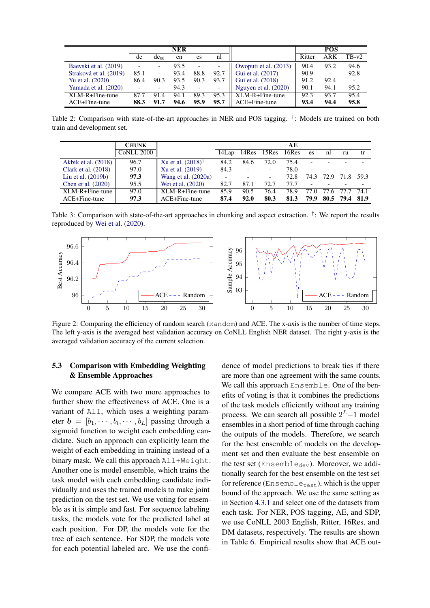<span id="page-7-0"></span>

|                        |      |                          | <b>NER</b> |                          |                          |                       |        | <b>POS</b> |         |
|------------------------|------|--------------------------|------------|--------------------------|--------------------------|-----------------------|--------|------------|---------|
|                        | de   | de <sub>06</sub>         | en         | es                       | nl                       |                       | Ritter | ARK        | $TB-v2$ |
| Baevski et al. (2019)  |      | $\overline{\phantom{a}}$ | 93.5       | $\overline{\phantom{0}}$ | $\overline{\phantom{a}}$ | Owoputi et al. (2013) | 90.4   | 93.2       | 94.6    |
| Straková et al. (2019) | 85.1 | $\overline{\phantom{0}}$ | 93.4       | 88.8                     | 92.7                     | Gui et al. (2017)     | 90.9   | -          | 92.8    |
| Yu et al. (2020)       | 86.4 | 90.3                     | 93.5       | 90.3                     | 93.7                     | Gui et al. (2018)     | 91.2   | 92.4       |         |
| Yamada et al. (2020)   |      | $\overline{\phantom{a}}$ | 94.3       |                          | $\overline{\phantom{a}}$ | Nguyen et al. (2020)  | 90.1   | 94.1       | 95.2    |
| $XLM-R+Fin$ e-tune     | 87.7 | 91.4                     | 94.1       | 89.3                     | 95.3                     | $XLM-R+Fin$ e-tune    | 92.3   | 93.7       | 95.4    |
| $ACE + Fine$ -tune     | 88.3 | 91.7                     | 94.6       | 95.9                     | 95.7                     | ACE+Fine-tune         | 93.4   | 94.4       | 95.8    |

Table 2: Comparison with state-of-the-art approaches in NER and POS tagging. <sup>†</sup>: Models are trained on both train and development set.

<span id="page-7-1"></span>

|                       | <b>CHUNK</b> |                       |       |       |                          | AЕ    |      |      |       |       |
|-----------------------|--------------|-----------------------|-------|-------|--------------------------|-------|------|------|-------|-------|
|                       | CoNLL 2000   |                       | 14Lap | 14Res | 15Res                    | 16Res | es   | nl   | ru    | tr    |
| Akbik et al. (2018)   | 96.7         | Xu et al. $(2018)^T$  | 84.2  | 84.6  | 72.0                     | 75.4  |      |      |       |       |
| Clark et al. $(2018)$ | 97.0         | Xu et al. (2019)      | 84.3  |       | $\overline{\phantom{a}}$ | 78.0  | -    |      |       |       |
| Liu et al. $(2019b)$  | 97.3         | Wang et al. $(2020a)$ |       |       | $\overline{\phantom{0}}$ | 72.8  | 74.3 | 72.9 | 71.8  | 59.3  |
| Chen et al. (2020)    | 95.5         | Wei et al. (2020)     | 82.7  | 87.1  | 72.7                     | 77.7  |      |      |       |       |
| $XLM-R+Fine-tune$     | 97.0         | $XLM-R+Fin$ e-tune    | 85.9  | 90.5  | 76.4                     | 78.9  | 77 O | 77.6 | -77.7 | 74.1  |
| ACE+Fine-tune         | 97.3         | ACE+Fine-tune         | 87.4  | 92.0  | 80.3                     | 81.3  | 79.9 | 80.5 | 79.4  | -81.9 |

Table 3: Comparison with state-of-the-art approaches in chunking and aspect extraction.  $^{\dagger}$ : We report the results reproduced by Wei et al. (2020).

<span id="page-7-2"></span>

Figure 2: Comparing the efficiency of random search (Random) and ACE. The x-axis is the number of time steps. The left y-axis is the averaged best validation accuracy on CoNLL English NER dataset. The right y-axis is the averaged validation accuracy of the current selection.

#### $5.3$ **Comparison with Embedding Weighting** & Ensemble Approaches

We compare ACE with two more approaches to further show the effectiveness of ACE. One is a variant of All, which uses a weighting parameter  $\mathbf{b} = [b_1, \cdots, b_l, \cdots, b_L]$  passing through a sigmoid function to weight each embedding candidate. Such an approach can explicitly learn the weight of each embedding in training instead of a binary mask. We call this approach All+Weight. Another one is model ensemble, which trains the task model with each embedding candidate individually and uses the trained models to make joint prediction on the test set. We use voting for ensemble as it is simple and fast. For sequence labeling tasks, the models vote for the predicted label at each position. For DP, the models vote for the tree of each sentence. For SDP, the models vote for each potential labeled arc. We use the confi-

dence of model predictions to break ties if there are more than one agreement with the same counts. We call this approach Ensemble. One of the benefits of voting is that it combines the predictions of the task models efficiently without any training process. We can search all possible  $2^L-1$  model ensembles in a short period of time through caching the outputs of the models. Therefore, we search for the best ensemble of models on the development set and then evaluate the best ensemble on the test set  $(Ensemble_{dev})$ . Moreover, we additionally search for the best ensemble on the test set for reference (Ensemble<sub>test</sub>), which is the upper bound of the approach. We use the same setting as in Section 4.3.1 and select one of the datasets from each task. For NER, POS tagging, AE, and SDP. we use CoNLL 2003 English, Ritter, 16Res, and DM datasets, respectively. The results are shown in Table 6. Empirical results show that ACE out-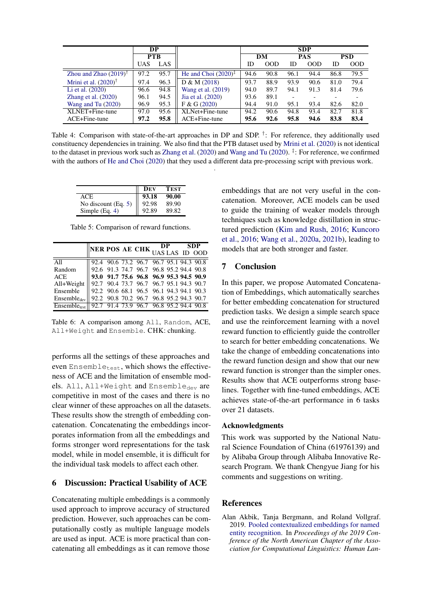<span id="page-8-0"></span>

|                            |            | DP         |                          |      |      |            | <b>SDP</b> |      |            |
|----------------------------|------------|------------|--------------------------|------|------|------------|------------|------|------------|
|                            |            | <b>PTB</b> |                          | DM   |      | <b>PAS</b> |            |      | <b>PSD</b> |
|                            | <b>UAS</b> | LAS        |                          | ID   | 00D  | ID         | OOD        | ID   | <b>OOD</b> |
| Zhou and Zhao $(2019)^{T}$ | 97.2       | 95.7       | He and Choi $(2020)^{T}$ | 94.6 | 90.8 | 96.1       | 94.4       | 86.8 | 79.5       |
| Mrini et al. $(2020)^T$    | 97.4       | 96.3       | D & M (2018)             | 93.7 | 88.9 | 93.9       | 90.6       | 81.0 | 79.4       |
| Li et al. (2020)           | 96.6       | 94.8       | Wang et al. (2019)       | 94.0 | 89.7 | 94.1       | 91.3       | 81.4 | 79.6       |
| Zhang et al. $(2020)$      | 96.1       | 94.5       | Jia et al. (2020)        | 93.6 | 89.1 |            |            |      |            |
| Wang and Tu $(2020)$       | 96.9       | 95.3       | F & G (2020)             | 94.4 | 91.0 | 95.1       | 93.4       | 82.6 | 82.0       |
| XLNET+Fine-tune            | 97.0       | 95.6       | XLNet+Fine-tune          | 94.2 | 90.6 | 94.8       | 93.4       | 82.7 | 81.8       |
| ACE+Fine-tune              | 97.2       | 95.8       | $ACE + Fine$ -tune       | 95.6 | 92.6 | 95.8       | 94.6       | 83.8 | 83.4       |

Table 4: Comparison with state-of-the-art approaches in DP and SDP.<sup>†</sup>: For reference, they additionally used constituency dependencies in training. We also find that the PTB dataset used by [Mrini et al.](#page-11-15) [\(2020\)](#page-11-15) is not identical to the dataset in previous work such as [Zhang et al.](#page-13-13) [\(2020\)](#page-13-14) and [Wang and Tu](#page-13-14) (2020). <sup>‡</sup>: For reference, we confirmed with the authors of [He and Choi](#page-10-14) [\(2020\)](#page-10-14) that they used a different data pre-processing script with previous work.

.

<span id="page-8-1"></span>

|                       | Dev   | <b>TEST</b> |
|-----------------------|-------|-------------|
| ACE.                  | 93.18 | 90.00       |
| No discount $(Eq. 5)$ | 92.98 | 89.90       |
| Simple $(Eq. 4)$      | 92.89 | 89.82       |

Table 5: Comparison of reward functions.

<span id="page-8-2"></span>

|                                                        | NER POS AE CHK UAS LAS ID OOD |  |  |                                                                                                                               |  |  |
|--------------------------------------------------------|-------------------------------|--|--|-------------------------------------------------------------------------------------------------------------------------------|--|--|
|                                                        |                               |  |  |                                                                                                                               |  |  |
| All                                                    |                               |  |  | 92.4 90.6 73.2 96.7 96.7 95.1 94.3 90.8<br>92.6 91.3 74.7 96.7 96.8 95.2 94.4 90.8<br>93.0 91.7 75.6 96.8 96.9 95.3 94.5 90.9 |  |  |
| Random                                                 |                               |  |  |                                                                                                                               |  |  |
| ACE.                                                   |                               |  |  |                                                                                                                               |  |  |
| All+Weight                                             |                               |  |  |                                                                                                                               |  |  |
| Ensemble                                               |                               |  |  |                                                                                                                               |  |  |
| $Ensemble_{dev}$                                       |                               |  |  | 92.7 90.4 73.7 96.7 96.7 95.1 94.3 90.7<br>92.2 90.6 68.1 96.5 96.1 94.3 94.1 90.3<br>92.2 90.8 70.2 96.7 96.8 95.2 94.3 90.7 |  |  |
| Ensembletest   92.7 91.4 73.9 96.7 96.8 95.2 94.4 90.8 |                               |  |  |                                                                                                                               |  |  |

Table 6: A comparison among All, Random, ACE, All+Weight and Ensemble. CHK: chunking.

performs all the settings of these approaches and even Ensembletest, which shows the effectiveness of ACE and the limitation of ensemble models. All, All+Weight and Ensembledev are competitive in most of the cases and there is no clear winner of these approaches on all the datasets. These results show the strength of embedding concatenation. Concatenating the embeddings incorporates information from all the embeddings and forms stronger word representations for the task model, while in model ensemble, it is difficult for the individual task models to affect each other.

## 6 Discussion: Practical Usability of ACE

Concatenating multiple embeddings is a commonly used approach to improve accuracy of structured prediction. However, such approaches can be computationally costly as multiple language models are used as input. ACE is more practical than concatenating all embeddings as it can remove those embeddings that are not very useful in the concatenation. Moreover, ACE models can be used to guide the training of weaker models through techniques such as knowledge distillation in structured prediction [\(Kim and Rush,](#page-10-17) [2016;](#page-10-17) [Kuncoro](#page-10-18) [et al.,](#page-10-18) [2016;](#page-10-18) [Wang et al.,](#page-13-11) [2020a,](#page-13-11) [2021b\)](#page-13-15), leading to models that are both stronger and faster.

# 7 Conclusion

In this paper, we propose Automated Concatenation of Embeddings, which automatically searches for better embedding concatenation for structured prediction tasks. We design a simple search space and use the reinforcement learning with a novel reward function to efficiently guide the controller to search for better embedding concatenations. We take the change of embedding concatenations into the reward function design and show that our new reward function is stronger than the simpler ones. Results show that ACE outperforms strong baselines. Together with fine-tuned embeddings, ACE achieves state-of-the-art performance in 6 tasks over 21 datasets.

#### Acknowledgments

This work was supported by the National Natural Science Foundation of China (61976139) and by Alibaba Group through Alibaba Innovative Research Program. We thank Chengyue Jiang for his comments and suggestions on writing.

## **References**

<span id="page-8-3"></span>Alan Akbik, Tanja Bergmann, and Roland Vollgraf. 2019. [Pooled contextualized embeddings for named](https://doi.org/10.18653/v1/N19-1078) [entity recognition.](https://doi.org/10.18653/v1/N19-1078) In *Proceedings of the 2019 Conference of the North American Chapter of the Association for Computational Linguistics: Human Lan-*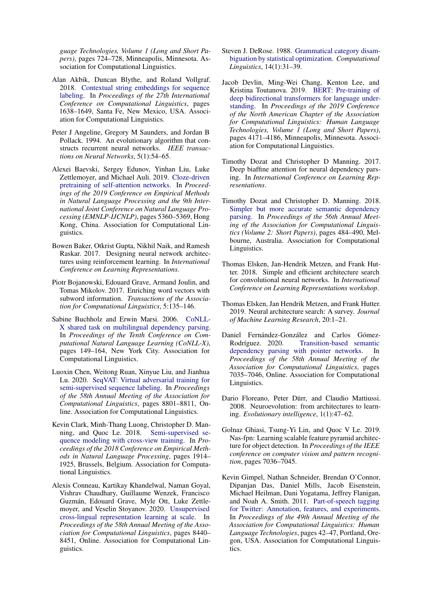*guage Technologies, Volume 1 (Long and Short Papers)*, pages 724–728, Minneapolis, Minnesota. Association for Computational Linguistics.

- <span id="page-9-0"></span>Alan Akbik, Duncan Blythe, and Roland Vollgraf. 2018. [Contextual string embeddings for sequence](https://www.aclweb.org/anthology/C18-1139) [labeling.](https://www.aclweb.org/anthology/C18-1139) In *Proceedings of the 27th International Conference on Computational Linguistics*, pages 1638–1649, Santa Fe, New Mexico, USA. Association for Computational Linguistics.
- <span id="page-9-9"></span>Peter J Angeline, Gregory M Saunders, and Jordan B Pollack. 1994. An evolutionary algorithm that constructs recurrent neural networks. *IEEE transactions on Neural Networks*, 5(1):54–65.
- <span id="page-9-15"></span>Alexei Baevski, Sergey Edunov, Yinhan Liu, Luke Zettlemoyer, and Michael Auli. 2019. [Cloze-driven](https://doi.org/10.18653/v1/D19-1539) [pretraining of self-attention networks.](https://doi.org/10.18653/v1/D19-1539) In *Proceedings of the 2019 Conference on Empirical Methods in Natural Language Processing and the 9th International Joint Conference on Natural Language Processing (EMNLP-IJCNLP)*, pages 5360–5369, Hong Kong, China. Association for Computational Linguistics.
- <span id="page-9-7"></span>Bowen Baker, Otkrist Gupta, Nikhil Naik, and Ramesh Raskar. 2017. Designing neural network architectures using reinforcement learning. In *International Conference on Learning Representations*.
- <span id="page-9-5"></span>Piotr Bojanowski, Edouard Grave, Armand Joulin, and Tomas Mikolov. 2017. Enriching word vectors with subword information. *Transactions of the Association for Computational Linguistics*, 5:135–146.
- <span id="page-9-14"></span>Sabine Buchholz and Erwin Marsi. 2006. [CoNLL-](https://www.aclweb.org/anthology/W06-2920)[X shared task on multilingual dependency parsing.](https://www.aclweb.org/anthology/W06-2920) In *Proceedings of the Tenth Conference on Computational Natural Language Learning (CoNLL-X)*, pages 149–164, New York City. Association for Computational Linguistics.
- <span id="page-9-17"></span>Luoxin Chen, Weitong Ruan, Xinyue Liu, and Jianhua Lu. 2020. [SeqVAT: Virtual adversarial training for](https://doi.org/10.18653/v1/2020.acl-main.777) [semi-supervised sequence labeling.](https://doi.org/10.18653/v1/2020.acl-main.777) In *Proceedings of the 58th Annual Meeting of the Association for Computational Linguistics*, pages 8801–8811, Online. Association for Computational Linguistics.
- <span id="page-9-16"></span>Kevin Clark, Minh-Thang Luong, Christopher D. Manning, and Quoc Le. 2018. [Semi-supervised se](https://doi.org/10.18653/v1/D18-1217)[quence modeling with cross-view training.](https://doi.org/10.18653/v1/D18-1217) In *Proceedings of the 2018 Conference on Empirical Methods in Natural Language Processing*, pages 1914– 1925, Brussels, Belgium. Association for Computational Linguistics.
- <span id="page-9-2"></span>Alexis Conneau, Kartikay Khandelwal, Naman Goyal, Vishrav Chaudhary, Guillaume Wenzek, Francisco Guzmán, Edouard Grave, Myle Ott, Luke Zettlemoyer, and Veselin Stoyanov. 2020. [Unsupervised](https://doi.org/10.18653/v1/2020.acl-main.747) [cross-lingual representation learning at scale.](https://doi.org/10.18653/v1/2020.acl-main.747) In *Proceedings of the 58th Annual Meeting of the Association for Computational Linguistics*, pages 8440– 8451, Online. Association for Computational Linguistics.
- <span id="page-9-4"></span>Steven J. DeRose. 1988. [Grammatical category disam](https://www.aclweb.org/anthology/J88-1003)[biguation by statistical optimization.](https://www.aclweb.org/anthology/J88-1003) *Computational Linguistics*, 14(1):31–39.
- <span id="page-9-1"></span>Jacob Devlin, Ming-Wei Chang, Kenton Lee, and Kristina Toutanova. 2019. [BERT: Pre-training of](https://doi.org/10.18653/v1/N19-1423) [deep bidirectional transformers for language under](https://doi.org/10.18653/v1/N19-1423)[standing.](https://doi.org/10.18653/v1/N19-1423) In *Proceedings of the 2019 Conference of the North American Chapter of the Association for Computational Linguistics: Human Language Technologies, Volume 1 (Long and Short Papers)*, pages 4171–4186, Minneapolis, Minnesota. Association for Computational Linguistics.
- <span id="page-9-12"></span>Timothy Dozat and Christopher D Manning. 2017. Deep biaffine attention for neural dependency parsing. In *International Conference on Learning Representations*.
- <span id="page-9-6"></span>Timothy Dozat and Christopher D. Manning. 2018. [Simpler but more accurate semantic dependency](https://doi.org/10.18653/v1/P18-2077) [parsing.](https://doi.org/10.18653/v1/P18-2077) In *Proceedings of the 56th Annual Meeting of the Association for Computational Linguistics (Volume 2: Short Papers)*, pages 484–490, Melbourne, Australia. Association for Computational Linguistics.
- <span id="page-9-11"></span>Thomas Elsken, Jan-Hendrik Metzen, and Frank Hutter. 2018. Simple and efficient architecture search for convolutional neural networks. In *International Conference on Learning Representations workshop*.
- <span id="page-9-8"></span>Thomas Elsken, Jan Hendrik Metzen, and Frank Hutter. 2019. Neural architecture search: A survey. *Journal of Machine Learning Research*, 20:1–21.
- <span id="page-9-18"></span>Daniel Fernández-González and Carlos Gómez-Rodríguez. 2020. [Transition-based semantic](https://doi.org/10.18653/v1/2020.acl-main.629) [dependency parsing with pointer networks.](https://doi.org/10.18653/v1/2020.acl-main.629) In *Proceedings of the 58th Annual Meeting of the Association for Computational Linguistics*, pages 7035–7046, Online. Association for Computational Linguistics.
- <span id="page-9-10"></span>Dario Floreano, Peter Dürr, and Claudio Mattiussi. 2008. Neuroevolution: from architectures to learning. *Evolutionary intelligence*, 1(1):47–62.
- <span id="page-9-3"></span>Golnaz Ghiasi, Tsung-Yi Lin, and Quoc V Le. 2019. Nas-fpn: Learning scalable feature pyramid architecture for object detection. In *Proceedings of the IEEE conference on computer vision and pattern recognition*, pages 7036–7045.
- <span id="page-9-13"></span>Kevin Gimpel, Nathan Schneider, Brendan O'Connor, Dipanjan Das, Daniel Mills, Jacob Eisenstein, Michael Heilman, Dani Yogatama, Jeffrey Flanigan, and Noah A. Smith. 2011. [Part-of-speech tagging](https://www.aclweb.org/anthology/P11-2008) [for Twitter: Annotation, features, and experiments.](https://www.aclweb.org/anthology/P11-2008) In *Proceedings of the 49th Annual Meeting of the Association for Computational Linguistics: Human Language Technologies*, pages 42–47, Portland, Oregon, USA. Association for Computational Linguistics.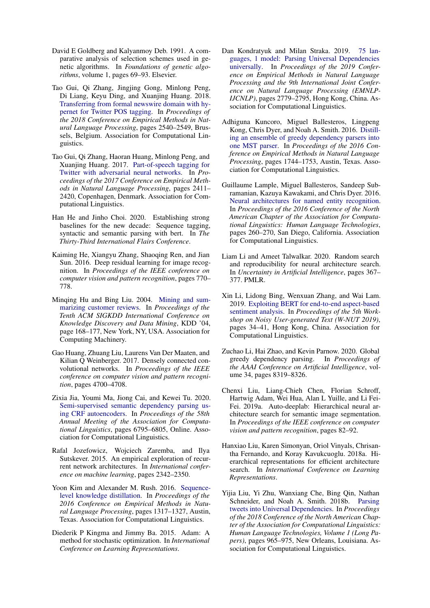- <span id="page-10-7"></span>David E Goldberg and Kalyanmoy Deb. 1991. A comparative analysis of selection schemes used in genetic algorithms. In *Foundations of genetic algorithms*, volume 1, pages 69–93. Elsevier.
- <span id="page-10-13"></span>Tao Gui, Qi Zhang, Jingjing Gong, Minlong Peng, Di Liang, Keyu Ding, and Xuanjing Huang. 2018. [Transferring from formal newswire domain with hy](https://doi.org/10.18653/v1/D18-1275)[pernet for Twitter POS tagging.](https://doi.org/10.18653/v1/D18-1275) In *Proceedings of the 2018 Conference on Empirical Methods in Natural Language Processing*, pages 2540–2549, Brussels, Belgium. Association for Computational Linguistics.
- <span id="page-10-12"></span>Tao Gui, Qi Zhang, Haoran Huang, Minlong Peng, and Xuanjing Huang. 2017. [Part-of-speech tagging for](https://doi.org/10.18653/v1/D17-1256) [Twitter with adversarial neural networks.](https://doi.org/10.18653/v1/D17-1256) In *Proceedings of the 2017 Conference on Empirical Methods in Natural Language Processing*, pages 2411– 2420, Copenhagen, Denmark. Association for Computational Linguistics.
- <span id="page-10-14"></span>Han He and Jinho Choi. 2020. Establishing strong baselines for the new decade: Sequence tagging, syntactic and semantic parsing with bert. In *The Thirty-Third International Flairs Conference*.
- <span id="page-10-3"></span>Kaiming He, Xiangyu Zhang, Shaoqing Ren, and Jian Sun. 2016. Deep residual learning for image recognition. In *Proceedings of the IEEE conference on computer vision and pattern recognition*, pages 770– 778.
- <span id="page-10-1"></span>Minqing Hu and Bing Liu. 2004. [Mining and sum](https://doi.org/10.1145/1014052.1014073)[marizing customer reviews.](https://doi.org/10.1145/1014052.1014073) In *Proceedings of the Tenth ACM SIGKDD International Conference on Knowledge Discovery and Data Mining*, KDD '04, page 168–177, New York, NY, USA. Association for Computing Machinery.
- <span id="page-10-4"></span>Gao Huang, Zhuang Liu, Laurens Van Der Maaten, and Kilian Q Weinberger. 2017. Densely connected convolutional networks. In *Proceedings of the IEEE conference on computer vision and pattern recognition*, pages 4700–4708.
- <span id="page-10-16"></span>Zixia Jia, Youmi Ma, Jiong Cai, and Kewei Tu. 2020. [Semi-supervised semantic dependency parsing us](https://doi.org/10.18653/v1/2020.acl-main.607)[ing CRF autoencoders.](https://doi.org/10.18653/v1/2020.acl-main.607) In *Proceedings of the 58th Annual Meeting of the Association for Computational Linguistics*, pages 6795–6805, Online. Association for Computational Linguistics.
- <span id="page-10-5"></span>Rafal Jozefowicz, Wojciech Zaremba, and Ilya Sutskever. 2015. An empirical exploration of recurrent network architectures. In *International conference on machine learning*, pages 2342–2350.
- <span id="page-10-17"></span>Yoon Kim and Alexander M. Rush. 2016. [Sequence](https://doi.org/10.18653/v1/D16-1139)[level knowledge distillation.](https://doi.org/10.18653/v1/D16-1139) In *Proceedings of the 2016 Conference on Empirical Methods in Natural Language Processing*, pages 1317–1327, Austin, Texas. Association for Computational Linguistics.
- <span id="page-10-19"></span>Diederik P Kingma and Jimmy Ba. 2015. Adam: A method for stochastic optimization. In *International Conference on Learning Representations*.
- <span id="page-10-8"></span>Dan Kondratyuk and Milan Straka. 2019. [75 lan](https://doi.org/10.18653/v1/D19-1279)[guages, 1 model: Parsing Universal Dependencies](https://doi.org/10.18653/v1/D19-1279) [universally.](https://doi.org/10.18653/v1/D19-1279) In *Proceedings of the 2019 Conference on Empirical Methods in Natural Language Processing and the 9th International Joint Conference on Natural Language Processing (EMNLP-IJCNLP)*, pages 2779–2795, Hong Kong, China. Association for Computational Linguistics.
- <span id="page-10-18"></span>Adhiguna Kuncoro, Miguel Ballesteros, Lingpeng Kong, Chris Dyer, and Noah A. Smith. 2016. [Distill](https://doi.org/10.18653/v1/D16-1180)[ing an ensemble of greedy dependency parsers into](https://doi.org/10.18653/v1/D16-1180) [one MST parser.](https://doi.org/10.18653/v1/D16-1180) In *Proceedings of the 2016 Conference on Empirical Methods in Natural Language Processing*, pages 1744–1753, Austin, Texas. Association for Computational Linguistics.
- <span id="page-10-2"></span>Guillaume Lample, Miguel Ballesteros, Sandeep Subramanian, Kazuya Kawakami, and Chris Dyer. 2016. [Neural architectures for named entity recognition.](https://doi.org/10.18653/v1/N16-1030) In *Proceedings of the 2016 Conference of the North American Chapter of the Association for Computational Linguistics: Human Language Technologies*, pages 260–270, San Diego, California. Association for Computational Linguistics.
- <span id="page-10-11"></span>Liam Li and Ameet Talwalkar. 2020. Random search and reproducibility for neural architecture search. In *Uncertainty in Artificial Intelligence*, pages 367– 377. PMLR.
- <span id="page-10-10"></span>Xin Li, Lidong Bing, Wenxuan Zhang, and Wai Lam. 2019. [Exploiting BERT for end-to-end aspect-based](https://doi.org/10.18653/v1/D19-5505) [sentiment analysis.](https://doi.org/10.18653/v1/D19-5505) In *Proceedings of the 5th Workshop on Noisy User-generated Text (W-NUT 2019)*, pages 34–41, Hong Kong, China. Association for Computational Linguistics.
- <span id="page-10-15"></span>Zuchao Li, Hai Zhao, and Kevin Parnow. 2020. Global greedy dependency parsing. In *Proceedings of the AAAI Conference on Artificial Intelligence*, volume 34, pages 8319–8326.
- <span id="page-10-0"></span>Chenxi Liu, Liang-Chieh Chen, Florian Schroff, Hartwig Adam, Wei Hua, Alan L Yuille, and Li Fei-Fei. 2019a. Auto-deeplab: Hierarchical neural architecture search for semantic image segmentation. In *Proceedings of the IEEE conference on computer vision and pattern recognition*, pages 82–92.
- <span id="page-10-6"></span>Hanxiao Liu, Karen Simonyan, Oriol Vinyals, Chrisantha Fernando, and Koray Kavukcuoglu. 2018a. Hierarchical representations for efficient architecture search. In *International Conference on Learning Representations*.
- <span id="page-10-9"></span>Yijia Liu, Yi Zhu, Wanxiang Che, Bing Qin, Nathan Schneider, and Noah A. Smith. 2018b. [Parsing](https://doi.org/10.18653/v1/N18-1088) [tweets into Universal Dependencies.](https://doi.org/10.18653/v1/N18-1088) In *Proceedings of the 2018 Conference of the North American Chapter of the Association for Computational Linguistics: Human Language Technologies, Volume 1 (Long Papers)*, pages 965–975, New Orleans, Louisiana. Association for Computational Linguistics.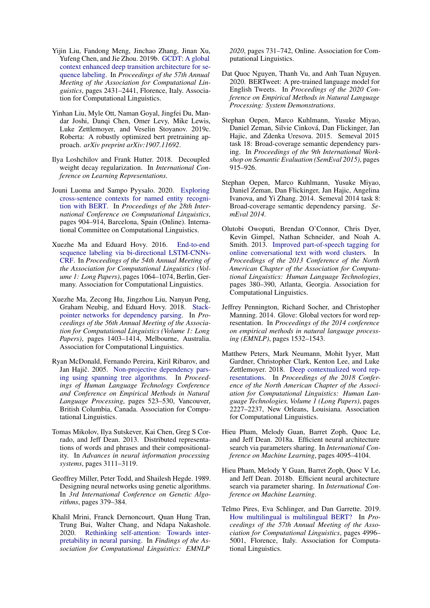- <span id="page-11-14"></span>Yijin Liu, Fandong Meng, Jinchao Zhang, Jinan Xu, Yufeng Chen, and Jie Zhou. 2019b. [GCDT: A global](https://doi.org/10.18653/v1/P19-1233) [context enhanced deep transition architecture for se](https://doi.org/10.18653/v1/P19-1233)[quence labeling.](https://doi.org/10.18653/v1/P19-1233) In *Proceedings of the 57th Annual Meeting of the Association for Computational Linguistics*, pages 2431–2441, Florence, Italy. Association for Computational Linguistics.
- <span id="page-11-6"></span>Yinhan Liu, Myle Ott, Naman Goyal, Jingfei Du, Mandar Joshi, Danqi Chen, Omer Levy, Mike Lewis, Luke Zettlemoyer, and Veselin Stoyanov. 2019c. Roberta: A robustly optimized bert pretraining approach. *arXiv preprint arXiv:1907.11692*.
- <span id="page-11-17"></span>Ilya Loshchilov and Frank Hutter. 2018. Decoupled weight decay regularization. In *International Conference on Learning Representations*.
- <span id="page-11-18"></span>Jouni Luoma and Sampo Pyysalo. 2020. [Exploring](https://www.aclweb.org/anthology/2020.coling-main.78) [cross-sentence contexts for named entity recogni](https://www.aclweb.org/anthology/2020.coling-main.78)[tion with BERT.](https://www.aclweb.org/anthology/2020.coling-main.78) In *Proceedings of the 28th International Conference on Computational Linguistics*, pages 904–914, Barcelona, Spain (Online). International Committee on Computational Linguistics.
- <span id="page-11-5"></span>Xuezhe Ma and Eduard Hovy. 2016. [End-to-end](https://doi.org/10.18653/v1/P16-1101) [sequence labeling via bi-directional LSTM-CNNs-](https://doi.org/10.18653/v1/P16-1101)[CRF.](https://doi.org/10.18653/v1/P16-1101) In *Proceedings of the 54th Annual Meeting of the Association for Computational Linguistics (Volume 1: Long Papers)*, pages 1064–1074, Berlin, Germany. Association for Computational Linguistics.
- <span id="page-11-12"></span>Xuezhe Ma, Zecong Hu, Jingzhou Liu, Nanyun Peng, Graham Neubig, and Eduard Hovy. 2018. [Stack](https://doi.org/10.18653/v1/P18-1130)[pointer networks for dependency parsing.](https://doi.org/10.18653/v1/P18-1130) In *Proceedings of the 56th Annual Meeting of the Association for Computational Linguistics (Volume 1: Long Papers)*, pages 1403–1414, Melbourne, Australia. Association for Computational Linguistics.
- <span id="page-11-16"></span>Ryan McDonald, Fernando Pereira, Kiril Ribarov, and Jan Hajič. 2005. [Non-projective dependency pars](https://www.aclweb.org/anthology/H05-1066)[ing using spanning tree algorithms.](https://www.aclweb.org/anthology/H05-1066) In *Proceedings of Human Language Technology Conference and Conference on Empirical Methods in Natural Language Processing*, pages 523–530, Vancouver, British Columbia, Canada. Association for Computational Linguistics.
- <span id="page-11-1"></span>Tomas Mikolov, Ilya Sutskever, Kai Chen, Greg S Corrado, and Jeff Dean. 2013. Distributed representations of words and phrases and their compositionality. In *Advances in neural information processing systems*, pages 3111–3119.
- <span id="page-11-8"></span>Geoffrey Miller, Peter Todd, and Shailesh Hegde. 1989. Designing neural networks using genetic algorithms. In *3rd International Conference on Genetic Algorithms*, pages 379–384.
- <span id="page-11-15"></span>Khalil Mrini, Franck Dernoncourt, Quan Hung Tran, Trung Bui, Walter Chang, and Ndapa Nakashole. 2020. [Rethinking self-attention: Towards inter](https://doi.org/10.18653/v1/2020.findings-emnlp.65)[pretability in neural parsing.](https://doi.org/10.18653/v1/2020.findings-emnlp.65) In *Findings of the Association for Computational Linguistics: EMNLP*

*2020*, pages 731–742, Online. Association for Computational Linguistics.

- <span id="page-11-11"></span>Dat Quoc Nguyen, Thanh Vu, and Anh Tuan Nguyen. 2020. BERTweet: A pre-trained language model for English Tweets. In *Proceedings of the 2020 Conference on Empirical Methods in Natural Language Processing: System Demonstrations*.
- <span id="page-11-13"></span>Stephan Oepen, Marco Kuhlmann, Yusuke Miyao, Daniel Zeman, Silvie Cinková, Dan Flickinger, Jan Hajic, and Zdenka Uresova. 2015. Semeval 2015 task 18: Broad-coverage semantic dependency parsing. In *Proceedings of the 9th International Workshop on Semantic Evaluation (SemEval 2015)*, pages 915–926.
- <span id="page-11-3"></span>Stephan Oepen, Marco Kuhlmann, Yusuke Miyao, Daniel Zeman, Dan Flickinger, Jan Hajic, Angelina Ivanova, and Yi Zhang. 2014. Semeval 2014 task 8: Broad-coverage semantic dependency parsing. *SemEval 2014*.
- <span id="page-11-10"></span>Olutobi Owoputi, Brendan O'Connor, Chris Dyer, Kevin Gimpel, Nathan Schneider, and Noah A. Smith. 2013. [Improved part-of-speech tagging for](https://www.aclweb.org/anthology/N13-1039) [online conversational text with word clusters.](https://www.aclweb.org/anthology/N13-1039) In *Proceedings of the 2013 Conference of the North American Chapter of the Association for Computational Linguistics: Human Language Technologies*, pages 380–390, Atlanta, Georgia. Association for Computational Linguistics.
- <span id="page-11-4"></span>Jeffrey Pennington, Richard Socher, and Christopher Manning. 2014. Glove: Global vectors for word representation. In *Proceedings of the 2014 conference on empirical methods in natural language processing (EMNLP)*, pages 1532–1543.
- <span id="page-11-0"></span>Matthew Peters, Mark Neumann, Mohit Iyyer, Matt Gardner, Christopher Clark, Kenton Lee, and Luke Zettlemoyer. 2018. [Deep contextualized word rep](https://doi.org/10.18653/v1/N18-1202)[resentations.](https://doi.org/10.18653/v1/N18-1202) In *Proceedings of the 2018 Conference of the North American Chapter of the Association for Computational Linguistics: Human Language Technologies, Volume 1 (Long Papers)*, pages 2227–2237, New Orleans, Louisiana. Association for Computational Linguistics.
- <span id="page-11-9"></span>Hieu Pham, Melody Guan, Barret Zoph, Quoc Le, and Jeff Dean. 2018a. Efficient neural architecture search via parameters sharing. In *International Conference on Machine Learning*, pages 4095–4104.
- <span id="page-11-2"></span>Hieu Pham, Melody Y Guan, Barret Zoph, Quoc V Le, and Jeff Dean. 2018b. Efficient neural architecture search via parameter sharing. In *International Conference on Machine Learning*.
- <span id="page-11-7"></span>Telmo Pires, Eva Schlinger, and Dan Garrette. 2019. [How multilingual is multilingual BERT?](https://doi.org/10.18653/v1/P19-1493) In *Proceedings of the 57th Annual Meeting of the Association for Computational Linguistics*, pages 4996– 5001, Florence, Italy. Association for Computational Linguistics.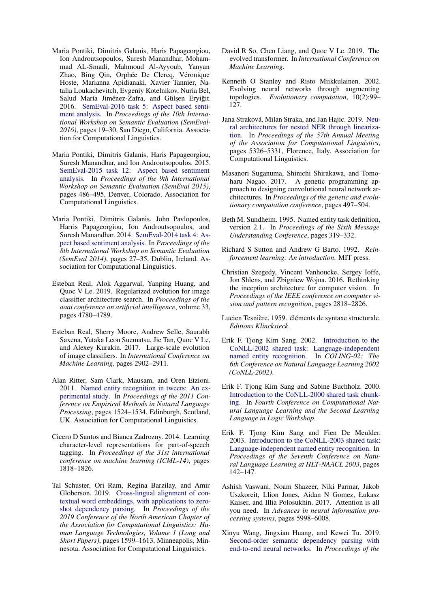- <span id="page-12-18"></span>Maria Pontiki, Dimitris Galanis, Haris Papageorgiou, Ion Androutsopoulos, Suresh Manandhar, Mohammad AL-Smadi, Mahmoud Al-Ayyoub, Yanyan Zhao, Bing Qin, Orphée De Clercq, Véronique Hoste, Marianna Apidianaki, Xavier Tannier, Natalia Loukachevitch, Evgeniy Kotelnikov, Nuria Bel, Salud María Jiménez-Zafra, and Gülşen Eryiğit. 2016. [SemEval-2016 task 5: Aspect based senti](https://doi.org/10.18653/v1/S16-1002)[ment analysis.](https://doi.org/10.18653/v1/S16-1002) In *Proceedings of the 10th International Workshop on Semantic Evaluation (SemEval-2016)*, pages 19–30, San Diego, California. Association for Computational Linguistics.
- <span id="page-12-17"></span>Maria Pontiki, Dimitris Galanis, Haris Papageorgiou, Suresh Manandhar, and Ion Androutsopoulos. 2015. [SemEval-2015 task 12: Aspect based sentiment](https://doi.org/10.18653/v1/S15-2082) [analysis.](https://doi.org/10.18653/v1/S15-2082) In *Proceedings of the 9th International Workshop on Semantic Evaluation (SemEval 2015)*, pages 486–495, Denver, Colorado. Association for Computational Linguistics.
- <span id="page-12-16"></span>Maria Pontiki, Dimitris Galanis, John Pavlopoulos, Harris Papageorgiou, Ion Androutsopoulos, and Suresh Manandhar. 2014. [SemEval-2014 task 4: As](https://doi.org/10.3115/v1/S14-2004)[pect based sentiment analysis.](https://doi.org/10.3115/v1/S14-2004) In *Proceedings of the 8th International Workshop on Semantic Evaluation (SemEval 2014)*, pages 27–35, Dublin, Ireland. Association for Computational Linguistics.
- <span id="page-12-2"></span>Esteban Real, Alok Aggarwal, Yanping Huang, and Quoc V Le. 2019. Regularized evolution for image classifier architecture search. In *Proceedings of the aaai conference on artificial intelligence*, volume 33, pages 4780–4789.
- <span id="page-12-11"></span>Esteban Real, Sherry Moore, Andrew Selle, Saurabh Saxena, Yutaka Leon Suematsu, Jie Tan, Quoc V Le, and Alexey Kurakin. 2017. Large-scale evolution of image classifiers. In *International Conference on Machine Learning*, pages 2902–2911.
- <span id="page-12-15"></span>Alan Ritter, Sam Clark, Mausam, and Oren Etzioni. 2011. [Named entity recognition in tweets: An ex](https://www.aclweb.org/anthology/D11-1141)[perimental study.](https://www.aclweb.org/anthology/D11-1141) In *Proceedings of the 2011 Conference on Empirical Methods in Natural Language Processing*, pages 1524–1534, Edinburgh, Scotland, UK. Association for Computational Linguistics.
- <span id="page-12-0"></span>Cicero D Santos and Bianca Zadrozny. 2014. Learning character-level representations for part-of-speech tagging. In *Proceedings of the 31st international conference on machine learning (ICML-14)*, pages 1818–1826.
- <span id="page-12-20"></span>Tal Schuster, Ori Ram, Regina Barzilay, and Amir Globerson. 2019. [Cross-lingual alignment of con](https://doi.org/10.18653/v1/N19-1162)[textual word embeddings, with applications to zero](https://doi.org/10.18653/v1/N19-1162)[shot dependency parsing.](https://doi.org/10.18653/v1/N19-1162) In *Proceedings of the 2019 Conference of the North American Chapter of the Association for Computational Linguistics: Human Language Technologies, Volume 1 (Long and Short Papers)*, pages 1599–1613, Minneapolis, Minnesota. Association for Computational Linguistics.
- <span id="page-12-3"></span>David R So, Chen Liang, and Quoc V Le. 2019. The evolved transformer. In *International Conference on Machine Learning*.
- <span id="page-12-10"></span>Kenneth O Stanley and Risto Miikkulainen. 2002. Evolving neural networks through augmenting topologies. *Evolutionary computation*, 10(2):99– 127.
- <span id="page-12-1"></span>Jana Straková, Milan Straka, and Jan Hajic. 2019. [Neu](https://doi.org/10.18653/v1/P19-1527)[ral architectures for nested NER through lineariza](https://doi.org/10.18653/v1/P19-1527)[tion.](https://doi.org/10.18653/v1/P19-1527) In *Proceedings of the 57th Annual Meeting of the Association for Computational Linguistics*, pages 5326–5331, Florence, Italy. Association for Computational Linguistics.
- <span id="page-12-12"></span>Masanori Suganuma, Shinichi Shirakawa, and Tomoharu Nagao. 2017. A genetic programming approach to designing convolutional neural network architectures. In *Proceedings of the genetic and evolutionary computation conference*, pages 497–504.
- <span id="page-12-5"></span>Beth M. Sundheim. 1995. Named entity task definition, version 2.1. In *Proceedings of the Sixth Message Understanding Conference*, pages 319–332.
- <span id="page-12-4"></span>Richard S Sutton and Andrew G Barto. 1992. *Reinforcement learning: An introduction*. MIT press.
- <span id="page-12-9"></span>Christian Szegedy, Vincent Vanhoucke, Sergey Ioffe, Jon Shlens, and Zbigniew Wojna. 2016. Rethinking the inception architecture for computer vision. In *Proceedings of the IEEE conference on computer vision and pattern recognition*, pages 2818–2826.
- <span id="page-12-7"></span>Lucien Tesnière. 1959. éléments de syntaxe structurale. *Editions Klincksieck*.
- <span id="page-12-13"></span>Erik F. Tjong Kim Sang. 2002. [Introduction to the](https://www.aclweb.org/anthology/W02-2024) [CoNLL-2002 shared task: Language-independent](https://www.aclweb.org/anthology/W02-2024) [named entity recognition.](https://www.aclweb.org/anthology/W02-2024) In *COLING-02: The 6th Conference on Natural Language Learning 2002 (CoNLL-2002)*.
- <span id="page-12-6"></span>Erik F. Tjong Kim Sang and Sabine Buchholz. 2000. [Introduction to the CoNLL-2000 shared task chunk](https://www.aclweb.org/anthology/W00-0726)[ing.](https://www.aclweb.org/anthology/W00-0726) In *Fourth Conference on Computational Natural Language Learning and the Second Learning Language in Logic Workshop*.
- <span id="page-12-14"></span>Erik F. Tjong Kim Sang and Fien De Meulder. 2003. [Introduction to the CoNLL-2003 shared task:](https://www.aclweb.org/anthology/W03-0419) [Language-independent named entity recognition.](https://www.aclweb.org/anthology/W03-0419) In *Proceedings of the Seventh Conference on Natural Language Learning at HLT-NAACL 2003*, pages 142–147.
- <span id="page-12-8"></span>Ashish Vaswani, Noam Shazeer, Niki Parmar, Jakob Uszkoreit, Llion Jones, Aidan N Gomez, Łukasz Kaiser, and Illia Polosukhin. 2017. Attention is all you need. In *Advances in neural information processing systems*, pages 5998–6008.
- <span id="page-12-19"></span>Xinyu Wang, Jingxian Huang, and Kewei Tu. 2019. [Second-order semantic dependency parsing with](https://doi.org/10.18653/v1/P19-1454) [end-to-end neural networks.](https://doi.org/10.18653/v1/P19-1454) In *Proceedings of the*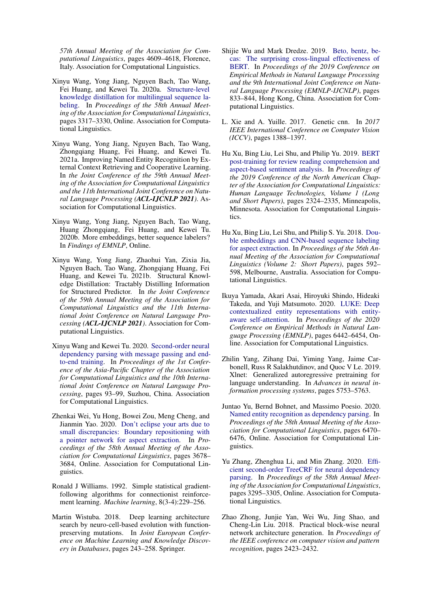*57th Annual Meeting of the Association for Computational Linguistics*, pages 4609–4618, Florence, Italy. Association for Computational Linguistics.

- <span id="page-13-11"></span>Xinyu Wang, Yong Jiang, Nguyen Bach, Tao Wang, Fei Huang, and Kewei Tu. 2020a. [Structure-level](https://doi.org/10.18653/v1/2020.acl-main.304) [knowledge distillation for multilingual sequence la](https://doi.org/10.18653/v1/2020.acl-main.304)[beling.](https://doi.org/10.18653/v1/2020.acl-main.304) In *Proceedings of the 58th Annual Meeting of the Association for Computational Linguistics*, pages 3317–3330, Online. Association for Computational Linguistics.
- <span id="page-13-16"></span>Xinyu Wang, Yong Jiang, Nguyen Bach, Tao Wang, Zhongqiang Huang, Fei Huang, and Kewei Tu. 2021a. Improving Named Entity Recognition by External Context Retrieving and Cooperative Learning. In *the Joint Conference of the 59th Annual Meeting of the Association for Computational Linguistics and the 11th International Joint Conference on Natural Language Processing (ACL-IJCNLP 2021)*. Association for Computational Linguistics.
- <span id="page-13-0"></span>Xinyu Wang, Yong Jiang, Nguyen Bach, Tao Wang, Huang Zhongqiang, Fei Huang, and Kewei Tu. 2020b. More embeddings, better sequence labelers? In *Findings of EMNLP*, Online.
- <span id="page-13-15"></span>Xinyu Wang, Yong Jiang, Zhaohui Yan, Zixia Jia, Nguyen Bach, Tao Wang, Zhongqiang Huang, Fei Huang, and Kewei Tu. 2021b. Structural Knowledge Distillation: Tractably Distilling Information for Structured Predictor. In *the Joint Conference of the 59th Annual Meeting of the Association for Computational Linguistics and the 11th International Joint Conference on Natural Language Processing (ACL-IJCNLP 2021)*. Association for Computational Linguistics.
- <span id="page-13-14"></span>Xinyu Wang and Kewei Tu. 2020. [Second-order neural](https://www.aclweb.org/anthology/2020.aacl-main.12) [dependency parsing with message passing and end](https://www.aclweb.org/anthology/2020.aacl-main.12)[to-end training.](https://www.aclweb.org/anthology/2020.aacl-main.12) In *Proceedings of the 1st Conference of the Asia-Pacific Chapter of the Association for Computational Linguistics and the 10th International Joint Conference on Natural Language Processing*, pages 93–99, Suzhou, China. Association for Computational Linguistics.
- <span id="page-13-12"></span>Zhenkai Wei, Yu Hong, Bowei Zou, Meng Cheng, and Jianmin Yao. 2020. [Don't eclipse your arts due to](https://doi.org/10.18653/v1/2020.acl-main.339) [small discrepancies: Boundary repositioning with](https://doi.org/10.18653/v1/2020.acl-main.339) [a pointer network for aspect extraction.](https://doi.org/10.18653/v1/2020.acl-main.339) In *Proceedings of the 58th Annual Meeting of the Association for Computational Linguistics*, pages 3678– 3684, Online. Association for Computational Linguistics.
- <span id="page-13-1"></span>Ronald J Williams. 1992. Simple statistical gradientfollowing algorithms for connectionist reinforcement learning. *Machine learning*, 8(3-4):229–256.
- <span id="page-13-5"></span>Martin Wistuba. 2018. Deep learning architecture search by neuro-cell-based evolution with functionpreserving mutations. In *Joint European Conference on Machine Learning and Knowledge Discovery in Databases*, pages 243–258. Springer.
- <span id="page-13-2"></span>Shijie Wu and Mark Dredze. 2019. [Beto, bentz, be](https://doi.org/10.18653/v1/D19-1077)[cas: The surprising cross-lingual effectiveness of](https://doi.org/10.18653/v1/D19-1077) [BERT.](https://doi.org/10.18653/v1/D19-1077) In *Proceedings of the 2019 Conference on Empirical Methods in Natural Language Processing and the 9th International Joint Conference on Natural Language Processing (EMNLP-IJCNLP)*, pages 833–844, Hong Kong, China. Association for Computational Linguistics.
- <span id="page-13-3"></span>L. Xie and A. Yuille. 2017. Genetic cnn. In *2017 IEEE International Conference on Computer Vision (ICCV)*, pages 1388–1397.
- <span id="page-13-10"></span>Hu Xu, Bing Liu, Lei Shu, and Philip Yu. 2019. [BERT](https://doi.org/10.18653/v1/N19-1242) [post-training for review reading comprehension and](https://doi.org/10.18653/v1/N19-1242) [aspect-based sentiment analysis.](https://doi.org/10.18653/v1/N19-1242) In *Proceedings of the 2019 Conference of the North American Chapter of the Association for Computational Linguistics: Human Language Technologies, Volume 1 (Long and Short Papers)*, pages 2324–2335, Minneapolis, Minnesota. Association for Computational Linguistics.
- <span id="page-13-9"></span>Hu Xu, Bing Liu, Lei Shu, and Philip S. Yu. 2018. [Dou](https://doi.org/10.18653/v1/P18-2094)[ble embeddings and CNN-based sequence labeling](https://doi.org/10.18653/v1/P18-2094) [for aspect extraction.](https://doi.org/10.18653/v1/P18-2094) In *Proceedings of the 56th Annual Meeting of the Association for Computational Linguistics (Volume 2: Short Papers)*, pages 592– 598, Melbourne, Australia. Association for Computational Linguistics.
- <span id="page-13-8"></span>Ikuya Yamada, Akari Asai, Hiroyuki Shindo, Hideaki Takeda, and Yuji Matsumoto. 2020. [LUKE: Deep](https://doi.org/10.18653/v1/2020.emnlp-main.523) [contextualized entity representations with entity](https://doi.org/10.18653/v1/2020.emnlp-main.523)[aware self-attention.](https://doi.org/10.18653/v1/2020.emnlp-main.523) In *Proceedings of the 2020 Conference on Empirical Methods in Natural Language Processing (EMNLP)*, pages 6442–6454, Online. Association for Computational Linguistics.
- <span id="page-13-6"></span>Zhilin Yang, Zihang Dai, Yiming Yang, Jaime Carbonell, Russ R Salakhutdinov, and Quoc V Le. 2019. Xlnet: Generalized autoregressive pretraining for language understanding. In *Advances in neural information processing systems*, pages 5753–5763.
- <span id="page-13-7"></span>Juntao Yu, Bernd Bohnet, and Massimo Poesio. 2020. [Named entity recognition as dependency parsing.](https://doi.org/10.18653/v1/2020.acl-main.577) In *Proceedings of the 58th Annual Meeting of the Association for Computational Linguistics*, pages 6470– 6476, Online. Association for Computational Linguistics.
- <span id="page-13-13"></span>Yu Zhang, Zhenghua Li, and Min Zhang. 2020. [Effi](https://doi.org/10.18653/v1/2020.acl-main.302)[cient second-order TreeCRF for neural dependency](https://doi.org/10.18653/v1/2020.acl-main.302) [parsing.](https://doi.org/10.18653/v1/2020.acl-main.302) In *Proceedings of the 58th Annual Meeting of the Association for Computational Linguistics*, pages 3295–3305, Online. Association for Computational Linguistics.
- <span id="page-13-4"></span>Zhao Zhong, Junjie Yan, Wei Wu, Jing Shao, and Cheng-Lin Liu. 2018. Practical block-wise neural network architecture generation. In *Proceedings of the IEEE conference on computer vision and pattern recognition*, pages 2423–2432.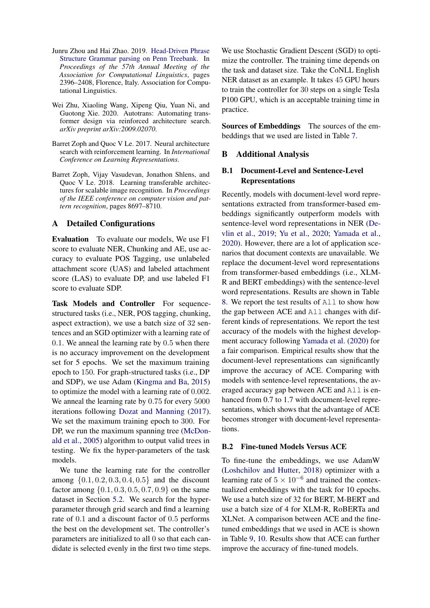- <span id="page-14-5"></span>Junru Zhou and Hai Zhao. 2019. [Head-Driven Phrase](https://doi.org/10.18653/v1/P19-1230) [Structure Grammar parsing on Penn Treebank.](https://doi.org/10.18653/v1/P19-1230) In *Proceedings of the 57th Annual Meeting of the Association for Computational Linguistics*, pages 2396–2408, Florence, Italy. Association for Computational Linguistics.
- <span id="page-14-1"></span>Wei Zhu, Xiaoling Wang, Xipeng Qiu, Yuan Ni, and Guotong Xie. 2020. Autotrans: Automating transformer design via reinforced architecture search. *arXiv preprint arXiv:2009.02070*.
- <span id="page-14-0"></span>Barret Zoph and Quoc V Le. 2017. Neural architecture search with reinforcement learning. In *International Conference on Learning Representations*.
- <span id="page-14-2"></span>Barret Zoph, Vijay Vasudevan, Jonathon Shlens, and Quoc V Le. 2018. Learning transferable architectures for scalable image recognition. In *Proceedings of the IEEE conference on computer vision and pattern recognition*, pages 8697–8710.

## <span id="page-14-3"></span>A Detailed Configurations

Evaluation To evaluate our models, We use F1 score to evaluate NER, Chunking and AE, use accuracy to evaluate POS Tagging, use unlabeled attachment score (UAS) and labeled attachment score (LAS) to evaluate DP, and use labeled F1 score to evaluate SDP.

Task Models and Controller For sequencestructured tasks (i.e., NER, POS tagging, chunking, aspect extraction), we use a batch size of 32 sentences and an SGD optimizer with a learning rate of 0.1. We anneal the learning rate by 0.5 when there is no accuracy improvement on the development set for 5 epochs. We set the maximum training epoch to 150. For graph-structured tasks (i.e., DP and SDP), we use Adam [\(Kingma and Ba,](#page-10-19) [2015\)](#page-10-19) to optimize the model with a learning rate of 0.002. We anneal the learning rate by 0.75 for every 5000 iterations following [Dozat and Manning](#page-9-12) [\(2017\)](#page-9-12). We set the maximum training epoch to 300. For DP, we run the maximum spanning tree [\(McDon](#page-11-16)[ald et al.,](#page-11-16) [2005\)](#page-11-16) algorithm to output valid trees in testing. We fix the hyper-parameters of the task models.

We tune the learning rate for the controller among  $\{0.1, 0.2, 0.3, 0.4, 0.5\}$  and the discount factor among  $\{0.1, 0.3, 0.5, 0.7, 0.9\}$  on the same dataset in Section [5.2.](#page-6-4) We search for the hyperparameter through grid search and find a learning rate of 0.1 and a discount factor of 0.5 performs the best on the development set. The controller's parameters are initialized to all 0 so that each candidate is selected evenly in the first two time steps. We use Stochastic Gradient Descent (SGD) to optimize the controller. The training time depends on the task and dataset size. Take the CoNLL English NER dataset as an example. It takes 45 GPU hours to train the controller for 30 steps on a single Tesla P100 GPU, which is an acceptable training time in practice.

<span id="page-14-4"></span>Sources of Embeddings The sources of the embeddings that we used are listed in Table [7.](#page-15-0)

## B Additional Analysis

## B.1 Document-Level and Sentence-Level Representations

Recently, models with document-level word representations extracted from transformer-based embeddings significantly outperform models with sentence-level word representations in NER [\(De](#page-9-1)[vlin et al.,](#page-9-1) [2019;](#page-9-1) [Yu et al.,](#page-13-7) [2020;](#page-13-7) [Yamada et al.,](#page-13-8) [2020\)](#page-13-8). However, there are a lot of application scenarios that document contexts are unavailable. We replace the document-level word representations from transformer-based embeddings (i.e., XLM-R and BERT embeddings) with the sentence-level word representations. Results are shown in Table [8.](#page-15-1) We report the test results of All to show how the gap between ACE and All changes with different kinds of representations. We report the test accuracy of the models with the highest development accuracy following [Yamada et al.](#page-13-8) [\(2020\)](#page-13-8) for a fair comparison. Empirical results show that the document-level representations can significantly improve the accuracy of ACE. Comparing with models with sentence-level representations, the averaged accuracy gap between ACE and All is enhanced from 0.7 to 1.7 with document-level representations, which shows that the advantage of ACE becomes stronger with document-level representations.

## B.2 Fine-tuned Models Versus ACE

To fine-tune the embeddings, we use AdamW [\(Loshchilov and Hutter,](#page-11-17) [2018\)](#page-11-17) optimizer with a learning rate of  $5 \times 10^{-6}$  and trained the contextualized embeddings with the task for 10 epochs. We use a batch size of 32 for BERT, M-BERT and use a batch size of 4 for XLM-R, RoBERTa and XLNet. A comparison between ACE and the finetuned embeddings that we used in ACE is shown in Table [9,](#page-17-0) [10.](#page-17-1) Results show that ACE can further improve the accuracy of fine-tuned models.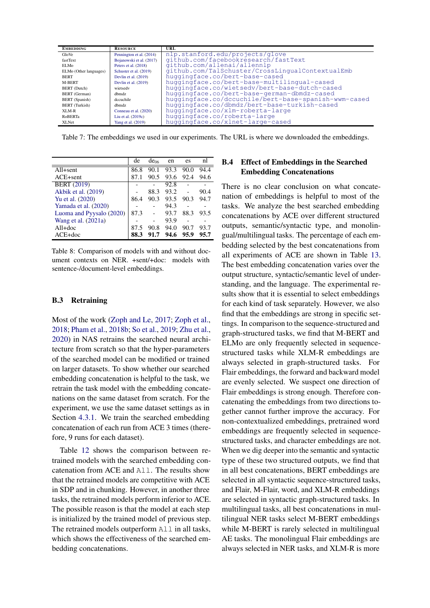<span id="page-15-0"></span>

| <b>EMBEDDING</b>       | <b>RESOURCE</b>          | URL                                                  |
|------------------------|--------------------------|------------------------------------------------------|
| GloVe                  | Pennington et al. (2014) | nlp.stanford.edu/projects/glove                      |
| fastText               | Bojanowski et al. (2017) | github.com/facebookresearch/fastText                 |
| ELMo                   | Peters et al. (2018)     | github.com/allenai/allennlp                          |
| ELMo (Other languages) | Schuster et al. (2019)   | github.com/TalSchuster/CrossLingualContextualEmb     |
| <b>BERT</b>            | Devlin et al. $(2019)$   | huggingface.co/bert-base-cased                       |
| M-BERT                 | Devlin et al. $(2019)$   | huggingface.co/bert-base-multilingual-cased          |
| BERT (Dutch)           | wietsedy                 | huqqinqface.co/wietsedv/bert-base-dutch-cased        |
| <b>BERT</b> (German)   | dbmdz.                   | huggingface.co/bert-base-german-dbmdz-cased          |
| BERT (Spanish)         | decuchile                | huggingface.co/dccuchile/bert-base-spanish-wwm-cased |
| <b>BERT</b> (Turkish)  | dbmdz                    | huggingface.co/dbmdz/bert-base-turkish-cased         |
| XLM-R                  | Conneau et al. (2020)    | huggingface.co/xlm-roberta-large                     |
| <b>RoBERTa</b>         | Liu et al. $(2019c)$     | huggingface.co/roberta-large                         |
| <b>XLNet</b>           | Yang et al. (2019)       | huggingface.co/xlnet-large-cased                     |

Table 7: The embeddings we used in our experiments. The URL is where we downloaded the embeddings.

<span id="page-15-1"></span>

|                          | de   | de <sub>06</sub> | en   | es   | nl   |
|--------------------------|------|------------------|------|------|------|
| All+sent                 | 86.8 | 90.1             | 93.3 | 90.0 | 94.4 |
| $ACE + sent$             | 87.1 | 90.5             | 93.6 | 92.4 | 94.6 |
| <b>BERT</b> (2019)       |      |                  | 92.8 |      |      |
| Akbik et al. (2019)      |      | 88.3             | 93.2 |      | 90.4 |
| Yu et al. (2020)         | 86.4 | 90.3             | 93.5 | 90.3 | 94.7 |
| Yamada et al. (2020)     |      |                  | 94.3 |      |      |
| Luoma and Pyysalo (2020) | 87.3 |                  | 93.7 | 88.3 | 93.5 |
| Wang et al. $(2021a)$    |      |                  | 93.9 |      |      |
| $All+doc$                | 87.5 | 90.8             | 94.0 | 90.7 | 93.7 |
| $ACE+doc$                | 88.3 |                  | 94.6 | 95.9 | 95.7 |

Table 8: Comparison of models with and without document contexts on NER. +sent/+doc: models with sentence-/document-level embeddings.

#### B.3 Retraining

Most of the work [\(Zoph and Le,](#page-14-0) [2017;](#page-14-0) [Zoph et al.,](#page-14-2) [2018;](#page-14-2) [Pham et al.,](#page-11-2) [2018b;](#page-11-2) [So et al.,](#page-12-3) [2019;](#page-12-3) [Zhu et al.,](#page-14-1) [2020\)](#page-14-1) in NAS retrains the searched neural architecture from scratch so that the hyper-parameters of the searched model can be modified or trained on larger datasets. To show whether our searched embedding concatenation is helpful to the task, we retrain the task model with the embedding concatenations on the same dataset from scratch. For the experiment, we use the same dataset settings as in Section [4.3.1.](#page-6-0) We train the searched embedding concatenation of each run from ACE 3 times (therefore, 9 runs for each dataset).

Table [12](#page-17-2) shows the comparison between retrained models with the searched embedding concatenation from ACE and All. The results show that the retrained models are competitive with ACE in SDP and in chunking. However, in another three tasks, the retrained models perform inferior to ACE. The possible reason is that the model at each step is initialized by the trained model of previous step. The retrained models outperform All in all tasks, which shows the effectiveness of the searched embedding concatenations.

# B.4 Effect of Embeddings in the Searched Embedding Concatenations

There is no clear conclusion on what concatenation of embeddings is helpful to most of the tasks. We analyze the best searched embedding concatenations by ACE over different structured outputs, semantic/syntactic type, and monolingual/multilingual tasks. The percentage of each embedding selected by the best concatenations from all experiments of ACE are shown in Table [13.](#page-17-3) The best embedding concatenation varies over the output structure, syntactic/semantic level of understanding, and the language. The experimental results show that it is essential to select embeddings for each kind of task separately. However, we also find that the embeddings are strong in specific settings. In comparison to the sequence-structured and graph-structured tasks, we find that M-BERT and ELMo are only frequently selected in sequencestructured tasks while XLM-R embeddings are always selected in graph-structured tasks. For Flair embeddings, the forward and backward model are evenly selected. We suspect one direction of Flair embeddings is strong enough. Therefore concatenating the embeddings from two directions together cannot further improve the accuracy. For non-contextualized embeddings, pretrained word embeddings are frequently selected in sequencestructured tasks, and character embeddings are not. When we dig deeper into the semantic and syntactic type of these two structured outputs, we find that in all best concatenations, BERT embeddings are selected in all syntactic sequence-structured tasks, and Flair, M-Flair, word, and XLM-R embeddings are selected in syntactic graph-structured tasks. In multilingual tasks, all best concatenations in multilingual NER tasks select M-BERT embeddings while M-BERT is rarely selected in multilingual AE tasks. The monolingual Flair embeddings are always selected in NER tasks, and XLM-R is more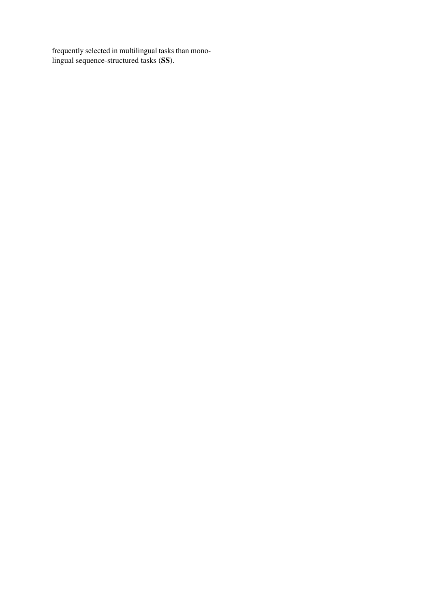frequently selected in multilingual tasks than monolingual sequence-structured tasks (SS).